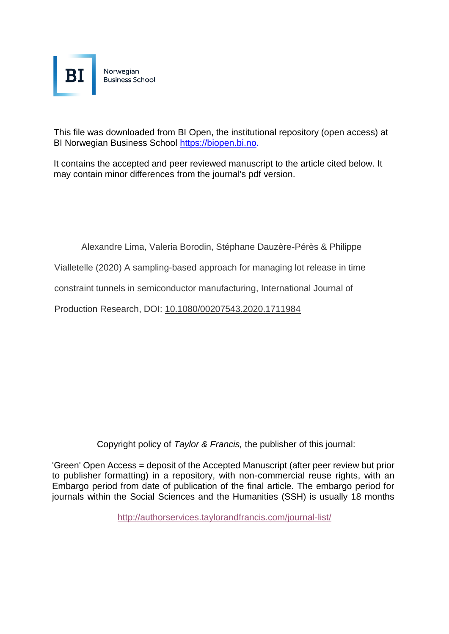

This file was downloaded from BI Open, the institutional repository (open access) at BI Norwegian Business School https://biopen.bi.no.

It contains the accepted and peer reviewed manuscript to the article cited below. It may contain minor differences from the journal's pdf version.

Alexandre Lima, Valeria Borodin, Stéphane Dauzère-Pérès & Philippe

Vialletelle (2020) A sampling-based approach for managing lot release in time

constraint tunnels in semiconductor manufacturing, International Journal of

Production Research, DOI: [10.1080/00207543.2020.1711984](https://doi.org/10.1080/00207543.2020.1711984)

Copyright policy of *Taylor & Francis,* the publisher of this journal:

'Green' Open Access = deposit of the Accepted Manuscript (after peer review but prior to publisher formatting) in a repository, with non-commercial reuse rights, with an Embargo period from date of publication of the final article. The embargo period for journals within the Social Sciences and the Humanities (SSH) is usually 18 months

<http://authorservices.taylorandfrancis.com/journal-list/>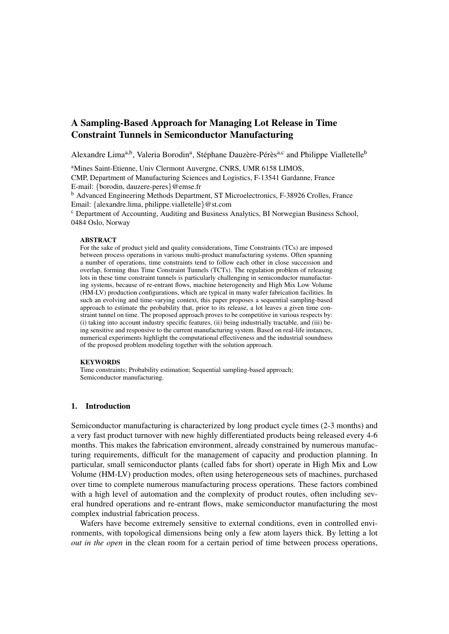# A Sampling-Based Approach for Managing Lot Release in Time Constraint Tunnels in Semiconductor Manufacturing

Alexandre Lima<sup>a,b</sup>, Valeria Borodin<sup>a</sup>, Stéphane Dauzère-Pérès<sup>a,c</sup> and Philippe Vialletelle<sup>b</sup>

<sup>a</sup>Mines Saint-Etienne, Univ Clermont Auvergne, CNRS, UMR 6158 LIMOS, CMP, Department of Manufacturing Sciences and Logistics, F-13541 Gardanne, France E-mail: {borodin, dauzere-peres}@emse.fr

<sup>b</sup> Advanced Engineering Methods Department, ST Microelectronics, F-38926 Crolles, France Email: {alexandre.lima, philippe.vialletelle}@st.com

<sup>c</sup> Department of Accounting, Auditing and Business Analytics, BI Norwegian Business School, 0484 Oslo, Norway

#### **ABSTRACT**

For the sake of product yield and quality considerations, Time Constraints (TCs) are imposed between process operations in various multi-product manufacturing systems. Often spanning a number of operations, time constraints tend to follow each other in close succession and overlap, forming thus Time Constraint Tunnels (TCTs). The regulation problem of releasing lots in these time constraint tunnels is particularly challenging in semiconductor manufacturing systems, because of re-entrant flows, machine heterogeneity and High Mix Low Volume (HM-LV) production configurations, which are typical in many wafer fabrication facilities. In such an evolving and time-varying context, this paper proposes a sequential sampling-based approach to estimate the probability that, prior to its release, a lot leaves a given time constraint tunnel on time. The proposed approach proves to be competitive in various respects by: (i) taking into account industry specific features, (ii) being industrially tractable, and (iii) being sensitive and responsive to the current manufacturing system. Based on real-life instances, numerical experiments highlight the computational effectiveness and the industrial soundness of the proposed problem modeling together with the solution approach.

## **KEYWORDS**

Time constraints; Probability estimation; Sequential sampling-based approach; Semiconductor manufacturing.

## 1. Introduction

Semiconductor manufacturing is characterized by long product cycle times (2-3 months) and a very fast product turnover with new highly differentiated products being released every 4-6 months. This makes the fabrication environment, already constrained by numerous manufacturing requirements, difficult for the management of capacity and production planning. In particular, small semiconductor plants (called fabs for short) operate in High Mix and Low Volume (HM-LV) production modes, often using heterogeneous sets of machines, purchased over time to complete numerous manufacturing process operations. These factors combined with a high level of automation and the complexity of product routes, often including several hundred operations and re-entrant flows, make semiconductor manufacturing the most complex industrial fabrication process.

Wafers have become extremely sensitive to external conditions, even in controlled environments, with topological dimensions being only a few atom layers thick. By letting a lot *out in the open* in the clean room for a certain period of time between process operations,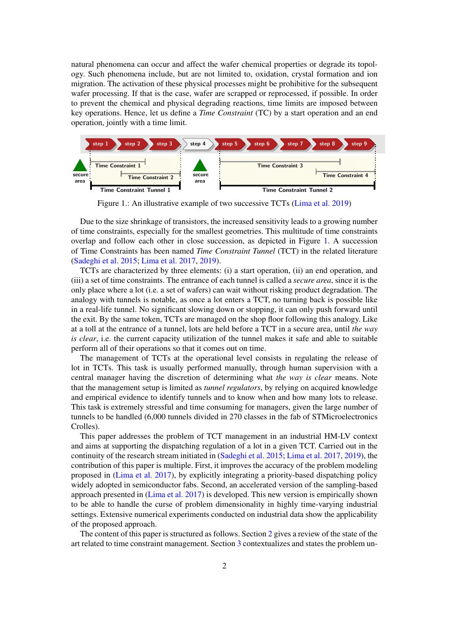natural phenomena can occur and affect the wafer chemical properties or degrade its topology. Such phenomena include, but are not limited to, oxidation, crystal formation and ion migration. The activation of these physical processes might be prohibitive for the subsequent wafer processing. If that is the case, wafer are scrapped or reprocessed, if possible. In order to prevent the chemical and physical degrading reactions, time limits are imposed between key operations. Hence, let us define a *Time Constraint* (TC) by a start operation and an end operation, jointly with a time limit.

<span id="page-3-0"></span>

Figure 1.: An illustrative example of two successive TCTs [\(Lima et al.](#page-28-0) [2019\)](#page-28-0)

Due to the size shrinkage of transistors, the increased sensitivity leads to a growing number of time constraints, especially for the smallest geometries. This multitude of time constraints overlap and follow each other in close succession, as depicted in Figure [1.](#page-3-0) A succession of Time Constraints has been named *Time Constraint Tunnel* (TCT) in the related literature [\(Sadeghi et al.](#page-28-1) [2015;](#page-28-1) [Lima et al.](#page-27-0) [2017,](#page-27-0) [2019\)](#page-28-0).

TCTs are characterized by three elements: (i) a start operation, (ii) an end operation, and (iii) a set of time constraints. The entrance of each tunnel is called a *secure area*, since it is the only place where a lot (i.e. a set of wafers) can wait without risking product degradation. The analogy with tunnels is notable, as once a lot enters a TCT, no turning back is possible like in a real-life tunnel. No significant slowing down or stopping, it can only push forward until the exit. By the same token, TCTs are managed on the shop floor following this analogy. Like at a toll at the entrance of a tunnel, lots are held before a TCT in a secure area, until *the way is clear*, i.e. the current capacity utilization of the tunnel makes it safe and able to suitable perform all of their operations so that it comes out on time.

The management of TCTs at the operational level consists in regulating the release of lot in TCTs. This task is usually performed manually, through human supervision with a central manager having the discretion of determining what *the way is clear* means. Note that the management setup is limited as *tunnel regulators*, by relying on acquired knowledge and empirical evidence to identify tunnels and to know when and how many lots to release. This task is extremely stressful and time consuming for managers, given the large number of tunnels to be handled (6,000 tunnels divided in 270 classes in the fab of STMicroelectronics Crolles).

This paper addresses the problem of TCT management in an industrial HM-LV context and aims at supporting the dispatching regulation of a lot in a given TCT. Carried out in the continuity of the research stream initiated in [\(Sadeghi et al.](#page-28-1) [2015;](#page-28-1) [Lima et al.](#page-27-0) [2017,](#page-27-0) [2019\)](#page-28-0), the contribution of this paper is multiple. First, it improves the accuracy of the problem modeling proposed in [\(Lima et al.](#page-27-0) [2017\)](#page-27-0), by explicitly integrating a priority-based dispatching policy widely adopted in semiconductor fabs. Second, an accelerated version of the sampling-based approach presented in [\(Lima et al.](#page-27-0) [2017\)](#page-27-0) is developed. This new version is empirically shown to be able to handle the curse of problem dimensionality in highly time-varying industrial settings. Extensive numerical experiments conducted on industrial data show the applicability of the proposed approach.

The content of this paper is structured as follows. Section [2](#page-4-0) gives a review of the state of the art related to time constraint management. Section [3](#page-6-0) contextualizes and states the problem un-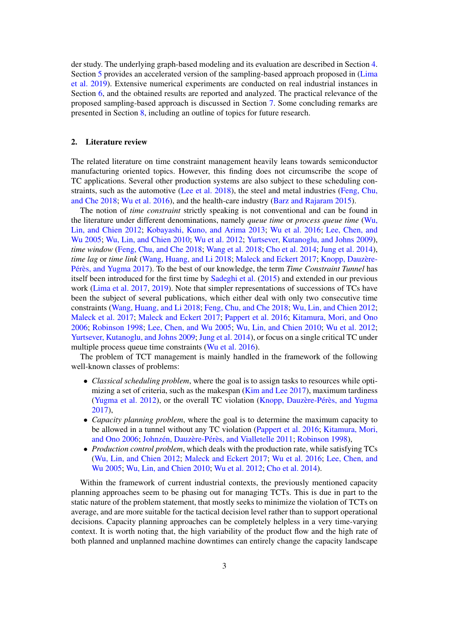der study. The underlying graph-based modeling and its evaluation are described in Section [4.](#page-7-0) Section [5](#page-10-0) provides an accelerated version of the sampling-based approach proposed in [\(Lima](#page-28-0) [et al.](#page-28-0) [2019\)](#page-28-0). Extensive numerical experiments are conducted on real industrial instances in Section [6,](#page-15-0) and the obtained results are reported and analyzed. The practical relevance of the proposed sampling-based approach is discussed in Section [7.](#page-19-0) Some concluding remarks are presented in Section [8,](#page-21-0) including an outline of topics for future research.

#### <span id="page-4-0"></span>2. Literature review

The related literature on time constraint management heavily leans towards semiconductor manufacturing oriented topics. However, this finding does not circumscribe the scope of TC applications. Several other production systems are also subject to these scheduling constraints, such as the automotive [\(Lee et al.](#page-27-1) [2018\)](#page-27-1), the steel and metal industries [\(Feng, Chu,](#page-27-2) [and Che](#page-27-2) [2018;](#page-27-2) [Wu et al.](#page-28-2) [2016\)](#page-28-2), and the health-care industry [\(Barz and Rajaram](#page-27-3) [2015\)](#page-27-3).

The notion of *time constraint* strictly speaking is not conventional and can be found in the literature under different denominations, namely *queue time* or *process queue time* [\(Wu,](#page-28-3) [Lin, and Chien](#page-28-3) [2012;](#page-28-3) [Kobayashi, Kuno, and Arima](#page-27-4) [2013;](#page-27-4) [Wu et al.](#page-28-2) [2016;](#page-28-2) [Lee, Chen, and](#page-27-5) [Wu](#page-27-5) [2005;](#page-27-5) [Wu, Lin, and Chien](#page-28-4) [2010;](#page-28-4) [Wu et al.](#page-28-5) [2012;](#page-28-5) [Yurtsever, Kutanoglu, and Johns](#page-28-6) [2009\)](#page-28-6), *time window* [\(Feng, Chu, and Che](#page-27-2) [2018;](#page-28-7) [Wang et al.](#page-28-7) 2018; [Cho et al.](#page-27-6) [2014;](#page-27-6) [Jung et al.](#page-27-7) [2014\)](#page-27-7), *time lag* or *time link* [\(Wang, Huang, and Li](#page-28-8) [2018;](#page-28-8) [Maleck and Eckert](#page-28-9) [2017;](#page-28-9) Knopp, Dauzère-Pérès, and Yugma [2017\)](#page-27-8). To the best of our knowledge, the term *Time Constraint Tunnel* has itself been introduced for the first time by [Sadeghi et al.](#page-28-1) [\(2015\)](#page-28-1) and extended in our previous work [\(Lima et al.](#page-27-0) [2017,](#page-27-0) [2019\)](#page-28-0). Note that simpler representations of successions of TCs have been the subject of several publications, which either deal with only two consecutive time constraints [\(Wang, Huang, and Li](#page-28-8) [2018;](#page-28-8) [Feng, Chu, and Che](#page-27-2) [2018;](#page-27-2) [Wu, Lin, and Chien](#page-28-3) [2012;](#page-28-3) [Maleck et al.](#page-28-10) [2017;](#page-28-10) [Maleck and Eckert](#page-28-9) [2017;](#page-28-9) [Pappert et al.](#page-28-11) [2016;](#page-28-11) [Kitamura, Mori, and Ono](#page-27-9) [2006;](#page-27-9) [Robinson](#page-28-12) [1998;](#page-28-12) [Lee, Chen, and Wu](#page-27-5) [2005;](#page-27-5) [Wu, Lin, and Chien](#page-28-4) [2010;](#page-28-4) [Wu et al.](#page-28-5) [2012;](#page-28-5) [Yurtsever, Kutanoglu, and Johns](#page-28-6) [2009;](#page-28-6) [Jung et al.](#page-27-7) [2014\)](#page-27-7), or focus on a single critical TC under multiple process queue time constraints [\(Wu et al.](#page-28-2) [2016\)](#page-28-2).

The problem of TCT management is mainly handled in the framework of the following well-known classes of problems:

- *Classical scheduling problem*, where the goal is to assign tasks to resources while optimizing a set of criteria, such as the makespan [\(Kim and Lee](#page-27-10) [2017\)](#page-27-10), maximum tardiness [\(Yugma et al.](#page-28-13) [2012\)](#page-28-13), or the overall TC violation (Knopp, Dauzère-Pérès, and Yugma [2017\)](#page-27-8),
- *Capacity planning problem*, where the goal is to determine the maximum capacity to be allowed in a tunnel without any TC violation [\(Pappert et al.](#page-28-11) [2016;](#page-28-11) [Kitamura, Mori,](#page-27-9) [and Ono](#page-27-9) [2006;](#page-27-9) Johnzén, Dauzère-Pérès, and Vialletelle [2011;](#page-27-11) [Robinson](#page-28-12) [1998\)](#page-28-12),
- *Production control problem*, which deals with the production rate, while satisfying TCs [\(Wu, Lin, and Chien](#page-28-3) [2012;](#page-28-3) [Maleck and Eckert](#page-28-9) [2017;](#page-28-9) [Wu et al.](#page-28-2) [2016;](#page-28-2) [Lee, Chen, and](#page-27-5) [Wu](#page-27-5) [2005;](#page-27-5) [Wu, Lin, and Chien](#page-28-4) [2010;](#page-28-4) [Wu et al.](#page-28-5) [2012;](#page-28-5) [Cho et al.](#page-27-6) [2014\)](#page-27-6).

Within the framework of current industrial contexts, the previously mentioned capacity planning approaches seem to be phasing out for managing TCTs. This is due in part to the static nature of the problem statement, that mostly seeks to minimize the violation of TCTs on average, and are more suitable for the tactical decision level rather than to support operational decisions. Capacity planning approaches can be completely helpless in a very time-varying context. It is worth noting that, the high variability of the product flow and the high rate of both planned and unplanned machine downtimes can entirely change the capacity landscape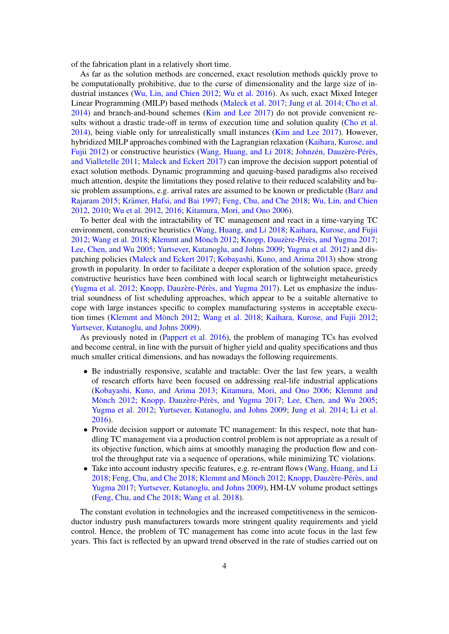of the fabrication plant in a relatively short time.

As far as the solution methods are concerned, exact resolution methods quickly prove to be computationally prohibitive, due to the curse of dimensionality and the large size of industrial instances [\(Wu, Lin, and Chien](#page-28-3) [2012;](#page-28-3) [Wu et al.](#page-28-2) [2016\)](#page-28-2). As such, exact Mixed Integer Linear Programming (MILP) based methods [\(Maleck et al.](#page-28-10) [2017;](#page-28-10) [Jung et al.](#page-27-7) [2014;](#page-27-7) [Cho et al.](#page-27-6) [2014\)](#page-27-6) and branch-and-bound schemes [\(Kim and Lee](#page-27-10) [2017\)](#page-27-10) do not provide convenient results without a drastic trade-off in terms of execution time and solution quality [\(Cho et al.](#page-27-6) [2014\)](#page-27-6), being viable only for unrealistically small instances [\(Kim and Lee](#page-27-10) [2017\)](#page-27-10). However, hybridized MILP approaches combined with the Lagrangian relaxation [\(Kaihara, Kurose, and](#page-27-12) [Fujii](#page-27-12) [2012\)](#page-27-12) or constructive heuristics [\(Wang, Huang, and Li](#page-28-8) [2018;](#page-28-8) Johnzén, Dauzère-Pérès, [and Vialletelle](#page-27-11) [2011;](#page-27-11) [Maleck and Eckert](#page-28-9) [2017\)](#page-28-9) can improve the decision support potential of exact solution methods. Dynamic programming and queuing-based paradigms also received much attention, despite the limitations they posed relative to their reduced scalability and basic problem assumptions, e.g. arrival rates are assumed to be known or predictable [\(Barz and](#page-27-3) [Rajaram](#page-27-3) [2015;](#page-27-3) Krämer, Hafsi, and Bai [1997;](#page-27-13) [Feng, Chu, and Che](#page-27-2) [2018;](#page-27-2) [Wu, Lin, and Chien](#page-28-3) [2012,](#page-28-3) [2010;](#page-28-4) [Wu et al.](#page-28-5) [2012,](#page-28-5) [2016;](#page-28-2) [Kitamura, Mori, and Ono](#page-27-9) [2006\)](#page-27-9).

To better deal with the intractability of TC management and react in a time-varying TC environment, constructive heuristics [\(Wang, Huang, and Li](#page-28-8) [2018;](#page-28-8) [Kaihara, Kurose, and Fujii](#page-27-12)  $2012$ ; [Wang et al.](#page-28-7)  $2018$ ; Klemmt and Mönch  $2012$ ; Knopp, Dauzère-Pérès, and Yugma  $2017$ ; [Lee, Chen, and Wu](#page-27-5) [2005;](#page-27-5) [Yurtsever, Kutanoglu, and Johns](#page-28-6) [2009;](#page-28-6) [Yugma et al.](#page-28-13) [2012\)](#page-28-13) and dispatching policies [\(Maleck and Eckert](#page-28-9) [2017;](#page-28-9) [Kobayashi, Kuno, and Arima](#page-27-4) [2013\)](#page-27-4) show strong growth in popularity. In order to facilitate a deeper exploration of the solution space, greedy constructive heuristics have been combined with local search or lightweight metaheuristics [\(Yugma et al.](#page-28-13) [2012;](#page-28-13) Knopp, Dauzère-Pérès, and Yugma [2017\)](#page-27-8). Let us emphasize the industrial soundness of list scheduling approaches, which appear to be a suitable alternative to cope with large instances specific to complex manufacturing systems in acceptable execu-tion times (Klemmt and Mönch [2012;](#page-27-12) [Wang et al.](#page-28-7) [2018;](#page-28-7) [Kaihara, Kurose, and Fujii](#page-27-12) 2012; [Yurtsever, Kutanoglu, and Johns](#page-28-6) [2009\)](#page-28-6).

As previously noted in [\(Pappert et al.](#page-28-11) [2016\)](#page-28-11), the problem of managing TCs has evolved and become central, in line with the pursuit of higher yield and quality specifications and thus much smaller critical dimensions, and has nowadays the following requirements.

- Be industrially responsive, scalable and tractable: Over the last few years, a wealth of research efforts have been focused on addressing real-life industrial applications [\(Kobayashi, Kuno, and Arima](#page-27-4) [2013;](#page-27-4) [Kitamura, Mori, and Ono](#page-27-9) [2006;](#page-27-9) [Klemmt and](#page-27-14) Mönch [2012;](#page-27-14) Knopp, Dauzère-Pérès, and Yugma [2017;](#page-27-8) [Lee, Chen, and Wu](#page-27-5) [2005;](#page-27-5) [Yugma et al.](#page-28-13) [2012;](#page-28-13) [Yurtsever, Kutanoglu, and Johns](#page-28-6) [2009;](#page-28-6) [Jung et al.](#page-27-7) [2014;](#page-27-7) [Li et al.](#page-27-15) [2016\)](#page-27-15).
- Provide decision support or automate TC management: In this respect, note that handling TC management via a production control problem is not appropriate as a result of its objective function, which aims at smoothly managing the production flow and control the throughput rate via a sequence of operations, while minimizing TC violations.
- Take into account industry specific features, e.g. re-entrant flows [\(Wang, Huang, and Li](#page-28-8) [2018;](#page-27-2) [Feng, Chu, and Che](#page-27-2) 2018; Klemmt and Mönch [2012;](#page-27-14) Knopp, Dauzère-Pérès, and [Yugma](#page-27-8) [2017;](#page-27-8) [Yurtsever, Kutanoglu, and Johns](#page-28-6) [2009\)](#page-28-6), HM-LV volume product settings [\(Feng, Chu, and Che](#page-27-2) [2018;](#page-27-2) [Wang et al.](#page-28-7) [2018\)](#page-28-7).

The constant evolution in technologies and the increased competitiveness in the semiconductor industry push manufacturers towards more stringent quality requirements and yield control. Hence, the problem of TC management has come into acute focus in the last few years. This fact is reflected by an upward trend observed in the rate of studies carried out on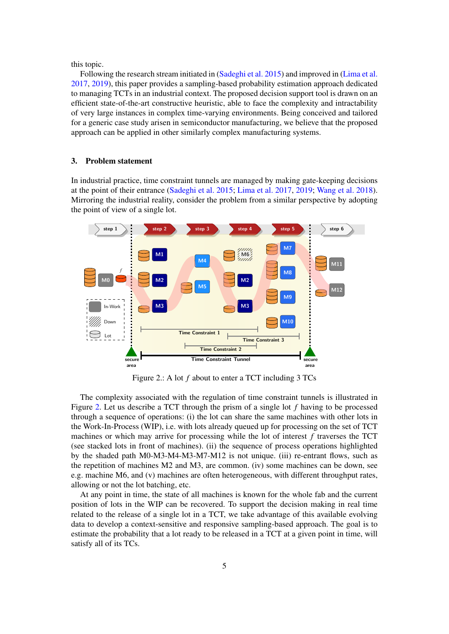this topic.

Following the research stream initiated in [\(Sadeghi et al.](#page-28-1) [2015\)](#page-28-1) and improved in [\(Lima et al.](#page-27-0) [2017,](#page-27-0) [2019\)](#page-28-0), this paper provides a sampling-based probability estimation approach dedicated to managing TCTs in an industrial context. The proposed decision support tool is drawn on an efficient state-of-the-art constructive heuristic, able to face the complexity and intractability of very large instances in complex time-varying environments. Being conceived and tailored for a generic case study arisen in semiconductor manufacturing, we believe that the proposed approach can be applied in other similarly complex manufacturing systems.

## <span id="page-6-0"></span>3. Problem statement

In industrial practice, time constraint tunnels are managed by making gate-keeping decisions at the point of their entrance [\(Sadeghi et al.](#page-28-1) [2015;](#page-28-1) [Lima et al.](#page-27-0) [2017,](#page-27-0) [2019;](#page-28-0) [Wang et al.](#page-28-7) [2018\)](#page-28-7). Mirroring the industrial reality, consider the problem from a similar perspective by adopting the point of view of a single lot.

<span id="page-6-1"></span>

Figure 2.: A lot *f* about to enter a TCT including 3 TCs

The complexity associated with the regulation of time constraint tunnels is illustrated in Figure [2.](#page-6-1) Let us describe a TCT through the prism of a single lot *f* having to be processed through a sequence of operations: (i) the lot can share the same machines with other lots in the Work-In-Process (WIP), i.e. with lots already queued up for processing on the set of TCT machines or which may arrive for processing while the lot of interest *f* traverses the TCT (see stacked lots in front of machines). (ii) the sequence of process operations highlighted by the shaded path M0-M3-M4-M3-M7-M12 is not unique. (iii) re-entrant flows, such as the repetition of machines M2 and M3, are common. (iv) some machines can be down, see e.g. machine M6, and (v) machines are often heterogeneous, with different throughput rates, allowing or not the lot batching, etc.

At any point in time, the state of all machines is known for the whole fab and the current position of lots in the WIP can be recovered. To support the decision making in real time related to the release of a single lot in a TCT, we take advantage of this available evolving data to develop a context-sensitive and responsive sampling-based approach. The goal is to estimate the probability that a lot ready to be released in a TCT at a given point in time, will satisfy all of its TCs.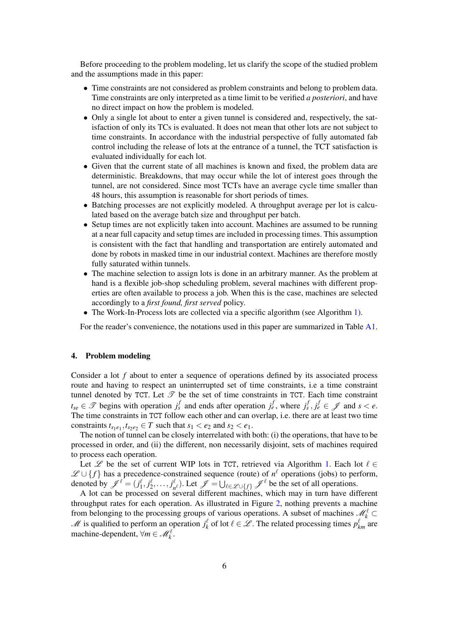Before proceeding to the problem modeling, let us clarify the scope of the studied problem and the assumptions made in this paper:

- Time constraints are not considered as problem constraints and belong to problem data. Time constraints are only interpreted as a time limit to be verified *a posteriori*, and have no direct impact on how the problem is modeled.
- Only a single lot about to enter a given tunnel is considered and, respectively, the satisfaction of only its TCs is evaluated. It does not mean that other lots are not subject to time constraints. In accordance with the industrial perspective of fully automated fab control including the release of lots at the entrance of a tunnel, the TCT satisfaction is evaluated individually for each lot.
- Given that the current state of all machines is known and fixed, the problem data are deterministic. Breakdowns, that may occur while the lot of interest goes through the tunnel, are not considered. Since most TCTs have an average cycle time smaller than 48 hours, this assumption is reasonable for short periods of times.
- Batching processes are not explicitly modeled. A throughput average per lot is calculated based on the average batch size and throughput per batch.
- Setup times are not explicitly taken into account. Machines are assumed to be running at a near full capacity and setup times are included in processing times. This assumption is consistent with the fact that handling and transportation are entirely automated and done by robots in masked time in our industrial context. Machines are therefore mostly fully saturated within tunnels.
- The machine selection to assign lots is done in an arbitrary manner. As the problem at hand is a flexible job-shop scheduling problem, several machines with different properties are often available to process a job. When this is the case, machines are selected accordingly to a *first found, first served* policy.
- The Work-In-Process lots are collected via a specific algorithm (see Algorithm [1\)](#page-8-0).

For the reader's convenience, the notations used in this paper are summarized in Table [A1.](#page-22-0)

## <span id="page-7-0"></span>4. Problem modeling

Consider a lot *f* about to enter a sequence of operations defined by its associated process route and having to respect an uninterrupted set of time constraints, i.e a time constraint tunnel denoted by TCT. Let  $\mathscr T$  be the set of time constraints in TCT. Each time constraint  $t_{se} \in \mathcal{F}$  begins with operation  $j_s^f$  and ends after operation  $j_e^f$ , where  $j_s^f, j_e^f \in \mathcal{J}$  and  $s < e$ . The time constraints in TCT follow each other and can overlap, i.e. there are at least two time constraints  $t_{s_1e_1}, t_{s_2e_2} \in T$  such that  $s_1 < e_2$  and  $s_2 < e_1$ .

The notion of tunnel can be closely interrelated with both: (i) the operations, that have to be processed in order, and (ii) the different, non necessarily disjoint, sets of machines required to process each operation.

Let  $\mathscr L$  be the set of current WIP lots in TCT, retrieved via Algorithm [1.](#page-8-1) Each lot  $\ell \in$  $\mathscr{L} \cup \{f\}$  has a precedence-constrained sequence (route) of  $n^l$  operations (jobs) to perform, denoted by  $\mathscr{J}^\ell = (j_1^\ell, j_2^\ell, \dots, j_n^\ell)$  $\ell_{n^{\ell}}$ ). Let  $\mathcal{J} = \bigcup_{\ell \in \mathcal{L} \cup \{f\}} \mathcal{J}^{\ell}$  be the set of all operations.

A lot can be processed on several different machines, which may in turn have different throughput rates for each operation. As illustrated in Figure [2,](#page-6-1) nothing prevents a machine from belonging to the processing groups of various operations. A subset of machines  $\mathcal{M}_k^{\ell}$  ⊂ *M* is qualified to perform an operation  $j_k^{\ell}$  of lot  $\ell \in \mathcal{L}$ . The related processing times  $p_{km}^{\ell}$  are machine-dependent,  $\forall m \in \mathcal{M}_k^{\ell}$ .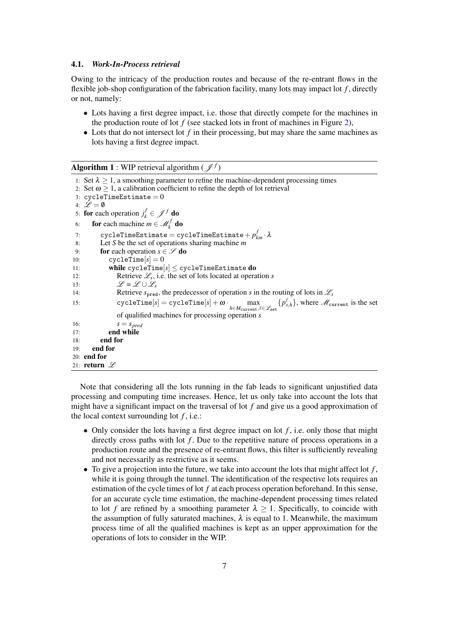## 4.1. *Work-In-Process retrieval*

Owing to the intricacy of the production routes and because of the re-entrant flows in the flexible job-shop configuration of the fabrication facility, many lots may impact lot *f* , directly or not, namely:

- Lots having a first degree impact, i.e. those that directly compete for the machines in the production route of lot *f* (see stacked lots in front of machines in Figure [2\)](#page-6-1),
- Lots that do not intersect lot f in their processing, but may share the same machines as lots having a first degree impact.

<span id="page-8-0"></span>**Algorithm 1** : WIP retrieval algorithm ( $\mathscr{J}^f$ )

```
1: Set \lambda \geq 1, a smoothing parameter to refine the machine-dependent processing times
 2: Set \omega > 1, a calibration coefficient to refine the depth of lot retrieval
 3: cyclicTimeEstimate = 04: \mathscr{L} = \emptyset5: for each operation j_k^f \in \mathcal{J}^f do
 6: for each machine m \in \mathcal{M}_k^f do
 7: cycleTimeEstimate = cycleTimeEstimate+ p
f
km · λ
 8: Let S be the set of operations sharing machine m
 9: for each operation s \in \mathscr{S} do
10: \text{cycleTime}[s] = 011: while \text{cycleTime}[s] \leq \text{cycleTimeEstimate} do
12: Retrieve \mathcal{L}_s, i.e. the set of lots located at operation s
13: \mathscr{L} = \mathscr{L} \cup \mathscr{L}_s14: Retrieve s_{\text{pred}}, the predecessor of operation s in the routing of lots in \mathcal{L}_s15: cycleTime[s] = cycleTime[s] + \omega \cdot\max_{h \in M_{\text{current}}, \ell \in \mathscr{L}_{\text{set}}} \{p_{s,h}^{\ell}\}, where \mathscr{M}_{\text{current}} is the set
                 of qualified machines for processing operation s
16: s = s_{pred}<br>17: end while
              end while
18: end for
19: end for
20: end for
21: return \mathscr L
```
<span id="page-8-1"></span>Note that considering all the lots running in the fab leads to significant unjustified data processing and computing time increases. Hence, let us only take into account the lots that might have a significant impact on the traversal of lot *f* and give us a good approximation of the local context surrounding lot  $f$ , i.e.:

- Only consider the lots having a first degree impact on lot *f* , i.e. only those that might directly cross paths with lot  $f$ . Due to the repetitive nature of process operations in a production route and the presence of re-entrant flows, this filter is sufficiently revealing and not necessarily as restrictive as it seems.
- To give a projection into the future, we take into account the lots that might affect lot  $f$ , while it is going through the tunnel. The identification of the respective lots requires an estimation of the cycle times of lot *f* at each process operation beforehand. In this sense, for an accurate cycle time estimation, the machine-dependent processing times related to lot *f* are refined by a smoothing parameter  $\lambda \geq 1$ . Specifically, to coincide with the assumption of fully saturated machines,  $\lambda$  is equal to 1. Meanwhile, the maximum process time of all the qualified machines is kept as an upper approximation for the operations of lots to consider in the WIP.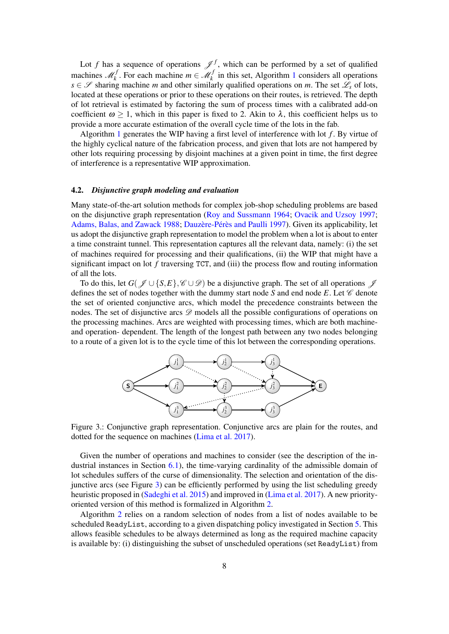Lot *f* has a sequence of operations  $\mathscr{J}^f$ , which can be performed by a set of qualified machines  $\mathcal{M}_k^f$ . For each machine  $m \in \mathcal{M}_k^f$  in this set, Algorithm [1](#page-8-1) considers all operations *s* ∈  $\mathscr S$  sharing machine *m* and other similarly qualified operations on *m*. The set  $\mathscr L_s$  of lots, located at these operations or prior to these operations on their routes, is retrieved. The depth of lot retrieval is estimated by factoring the sum of process times with a calibrated add-on coefficient  $\omega > 1$ , which in this paper is fixed to 2. Akin to  $\lambda$ , this coefficient helps us to provide a more accurate estimation of the overall cycle time of the lots in the fab.

Algorithm [1](#page-8-1) generates the WIP having a first level of interference with lot *f* . By virtue of the highly cyclical nature of the fabrication process, and given that lots are not hampered by other lots requiring processing by disjoint machines at a given point in time, the first degree of interference is a representative WIP approximation.

## 4.2. *Disjunctive graph modeling and evaluation*

Many state-of-the-art solution methods for complex job-shop scheduling problems are based on the disjunctive graph representation [\(Roy and Sussmann](#page-28-14) [1964;](#page-28-14) [Ovacik and Uzsoy](#page-28-15) [1997;](#page-28-15) [Adams, Balas, and Zawack](#page-27-16) [1988;](#page-27-16) Dauzère-Pérès and Paulli [1997\)](#page-27-17). Given its applicability, let us adopt the disjunctive graph representation to model the problem when a lot is about to enter a time constraint tunnel. This representation captures all the relevant data, namely: (i) the set of machines required for processing and their qualifications, (ii) the WIP that might have a significant impact on lot *f* traversing TCT, and (iii) the process flow and routing information of all the lots.

To do this, let  $G(\mathscr{J} \cup \{S,E\}, \mathscr{C} \cup \mathscr{D})$  be a disjunctive graph. The set of all operations  $\mathscr{J}$ defines the set of nodes together with the dummy start node *S* and end node *E*. Let  $\mathscr C$  denote the set of oriented conjunctive arcs, which model the precedence constraints between the nodes. The set of disjunctive arcs  $\mathscr D$  models all the possible configurations of operations on the processing machines. Arcs are weighted with processing times, which are both machineand operation- dependent. The length of the longest path between any two nodes belonging to a route of a given lot is to the cycle time of this lot between the corresponding operations.

<span id="page-9-0"></span>

Figure 3.: Conjunctive graph representation. Conjunctive arcs are plain for the routes, and dotted for the sequence on machines [\(Lima et al.](#page-27-0) [2017\)](#page-27-0).

Given the number of operations and machines to consider (see the description of the industrial instances in Section  $6.1$ ), the time-varying cardinality of the admissible domain of lot schedules suffers of the curse of dimensionality. The selection and orientation of the disjunctive arcs (see Figure [3\)](#page-9-0) can be efficiently performed by using the list scheduling greedy heuristic proposed in [\(Sadeghi et al.](#page-28-1) [2015\)](#page-28-1) and improved in [\(Lima et al.](#page-27-0) [2017\)](#page-27-0). A new priorityoriented version of this method is formalized in Algorithm [2.](#page-10-1)

Algorithm [2](#page-10-1) relies on a random selection of nodes from a list of nodes available to be scheduled ReadyList, according to a given dispatching policy investigated in Section [5.](#page-10-0) This allows feasible schedules to be always determined as long as the required machine capacity is available by: (i) distinguishing the subset of unscheduled operations (set ReadyList) from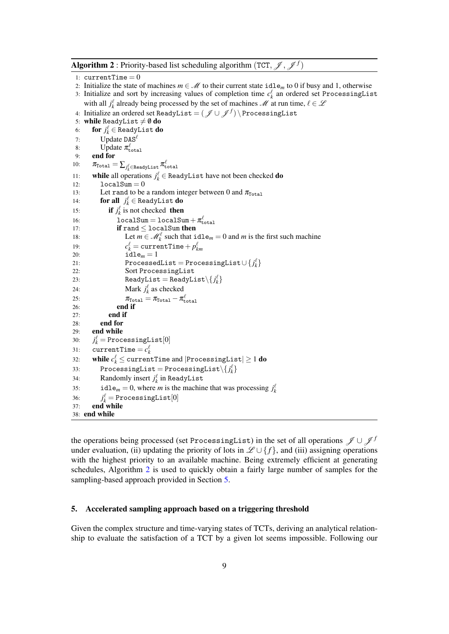<span id="page-10-1"></span>**Algorithm 2**: Priority-based list scheduling algorithm (TCT,  $\mathcal{J},\mathcal{J}^f$ ) 1:  $currentTime = 0$ 2: Initialize the state of machines  $m \in \mathcal{M}$  to their current state idle<sub>m</sub> to 0 if busy and 1, otherwise 3: Initialize and sort by increasing values of completion time  $c_k^{\ell}$  an ordered set ProcessingList with all  $j_k^{\ell}$  already being processed by the set of machines  $\mathcal{M}$  at run time,  $\ell \in \mathcal{L}$ 4: Initialize an ordered set ReadyList = (J ∪J *<sup>f</sup>* ) \ ProcessingList 5: while ReadyList  $\neq \emptyset$  do 6: **for**  $j_k^{\ell} \in$  ReadyList **do** 7: Update  $\text{DAS}^{\ell}$ 8: Update  $\pi_{\text{total}}^{\ell}$ 9: end for 10:  $\pi_{\texttt{Total}} = \sum_{j_{k}^{\ell} \in \texttt{Readylist}} \pi_{\texttt{total}}^{\ell}$ 11: while all operations  $j_k^{\ell} \in$  ReadyList have not been checked **do** 12:  $10 \text{c} \text{a} 1 \text{Sum} = 0$ 13: Let rand to be a random integer between 0 and  $\pi_{\text{Total}}$ 14: **for all**  $j_k^{\ell} \in$  ReadyList **do** 15: **if**  $j_k^{\ell}$  is not checked **then** 16: localSum =  $1$ ocalSum +  $\pi_{\text{total}}^{\ell}$ 17: **if** rand < localSum then 18: Let  $m \in \mathcal{M}_k^{\ell}$  such that  $\text{id}e_m = 0$  and *m* is the first such machine 19: *c*  $\alpha^\ell_k = \texttt{currentTime} + p^\ell_{km}$ 20:  $\mathbf{i} \, \mathbf{d} \, \mathbf{l} \, \mathbf{e}_m = 1$ 21: ProcessedList = ProcessingList  $\cup \{ j_k^{\ell} \}$ 22: Sort ProcessingList 23: ReadyList =  $\texttt{ReadyList} \setminus \{ j_k^{\ell} \}$ 24: Mark  $j_k^{\ell}$  as checked 25:  $\pi_{\text{Total}} = \pi_{\text{Total}} - \pi_{\text{total}}^{\ell}$ 26: end if 27: end if 28: end for 29: end while 30: *j*  $\frac{\ell}{k} = \texttt{ProcessingList}[0]$ 31: currentTime =  $c_k^{\ell}$ 32: **while**  $c_k^{\ell} \leq$  currentTime and  $|\text{ProcessingList}| \geq 1$   $\textbf{do}$  $33:$  ProcessingList = ProcessingList $\setminus \{ j_k^\ell \}$ 34: Randomly insert  $j_k^{\ell}$  in ReadyList 35: idle<sub>*m*</sub> = 0, where *m* is the machine that was processing  $j_k^l$ 36: *j*  $\frac{\ell}{k} =$  ProcessingList $[0]$ 37: end while 38: end while

<span id="page-10-2"></span>the operations being processed (set ProcessingList) in the set of all operations  $\mathscr{J} \cup \mathscr{J}^f$ under evaluation, (ii) updating the priority of lots in  $\mathscr{L} \cup \{f\}$ , and (iii) assigning operations with the highest priority to an available machine. Being extremely efficient at generating schedules, Algorithm [2](#page-10-1) is used to quickly obtain a fairly large number of samples for the sampling-based approach provided in Section [5.](#page-10-0)

#### <span id="page-10-0"></span>5. Accelerated sampling approach based on a triggering threshold

Given the complex structure and time-varying states of TCTs, deriving an analytical relationship to evaluate the satisfaction of a TCT by a given lot seems impossible. Following our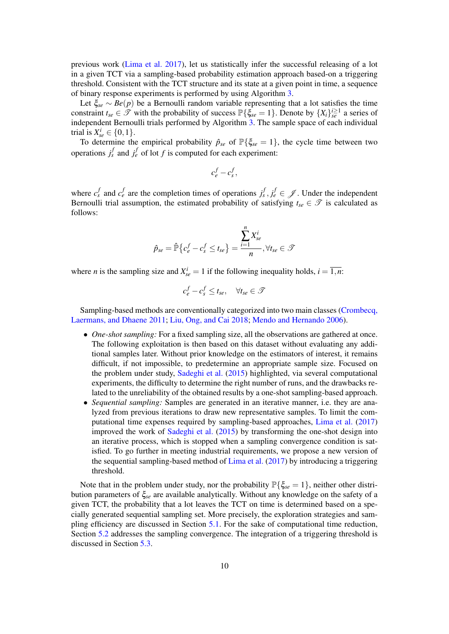previous work [\(Lima et al.](#page-27-0) [2017\)](#page-27-0), let us statistically infer the successful releasing of a lot in a given TCT via a sampling-based probability estimation approach based-on a triggering threshold. Consistent with the TCT structure and its state at a given point in time, a sequence of binary response experiments is performed by using Algorithm [3.](#page-15-2)

Let ξ*se* ∼ *Be*(*p*) be a Bernoulli random variable representing that a lot satisfies the time constraint  $t_{se} \in \mathcal{F}$  with the probability of success  $\mathbb{P}\{\xi_{se} = 1\}$ . Denote by  $\{X_i\}_{se}^{i \geq 1}$  a series of independent Bernoulli trials performed by Algorithm [3.](#page-15-2) The sample space of each individual trial is  $X_{se}^{i} \in \{0, 1\}.$ 

To determine the empirical probability  $\hat{p}_{se}$  of  $\mathbb{P}\{\xi_{se} = 1\}$ , the cycle time between two operations  $j_s^f$  and  $j_e^f$  of lot *f* is computed for each experiment:

$$
c_e^f - c_s^f,
$$

where  $c_s^f$  and  $c_e^f$  are the completion times of operations  $j_s^f, j_e^f \in \mathcal{J}$ . Under the independent Bernoulli trial assumption, the estimated probability of satisfying  $t_{se} \in \mathcal{T}$  is calculated as follows:

$$
\hat{p}_{se} = \hat{\mathbb{P}}\left\{c_e^f - c_s^f \le t_{se}\right\} = \frac{\sum_{i=1}^n X_{se}^i}{n}, \forall t_{se} \in \mathcal{T}
$$

where *n* is the sampling size and  $X_{se}^{i} = 1$  if the following inequality holds,  $i = \overline{1, n}$ :

$$
c_e^f - c_s^f \le t_{se}, \quad \forall t_{se} \in \mathcal{F}
$$

Sampling-based methods are conventionally categorized into two main classes [\(Crombecq,](#page-27-18) [Laermans, and Dhaene](#page-27-18) [2011;](#page-27-18) [Liu, Ong, and Cai](#page-28-16) [2018;](#page-28-16) [Mendo and Hernando](#page-28-17) [2006\)](#page-28-17).

- *One-shot sampling:* For a fixed sampling size, all the observations are gathered at once. The following exploitation is then based on this dataset without evaluating any additional samples later. Without prior knowledge on the estimators of interest, it remains difficult, if not impossible, to predetermine an appropriate sample size. Focused on the problem under study, [Sadeghi et al.](#page-28-1) [\(2015\)](#page-28-1) highlighted, via several computational experiments, the difficulty to determine the right number of runs, and the drawbacks related to the unreliability of the obtained results by a one-shot sampling-based approach.
- *Sequential sampling:* Samples are generated in an iterative manner, i.e. they are analyzed from previous iterations to draw new representative samples. To limit the computational time expenses required by sampling-based approaches, [Lima et al.](#page-27-0) [\(2017\)](#page-27-0) improved the work of [Sadeghi et al.](#page-28-1) [\(2015\)](#page-28-1) by transforming the one-shot design into an iterative process, which is stopped when a sampling convergence condition is satisfied. To go further in meeting industrial requirements, we propose a new version of the sequential sampling-based method of [Lima et al.](#page-27-0) [\(2017\)](#page-27-0) by introducing a triggering threshold.

Note that in the problem under study, nor the probability  $\mathbb{P}\{\xi_{se}=1\}$ , neither other distribution parameters of ξ*se* are available analytically. Without any knowledge on the safety of a given TCT, the probability that a lot leaves the TCT on time is determined based on a specially generated sequential sampling set. More precisely, the exploration strategies and sampling efficiency are discussed in Section [5.1.](#page-12-0) For the sake of computational time reduction, Section [5.2](#page-13-0) addresses the sampling convergence. The integration of a triggering threshold is discussed in Section [5.3.](#page-14-0)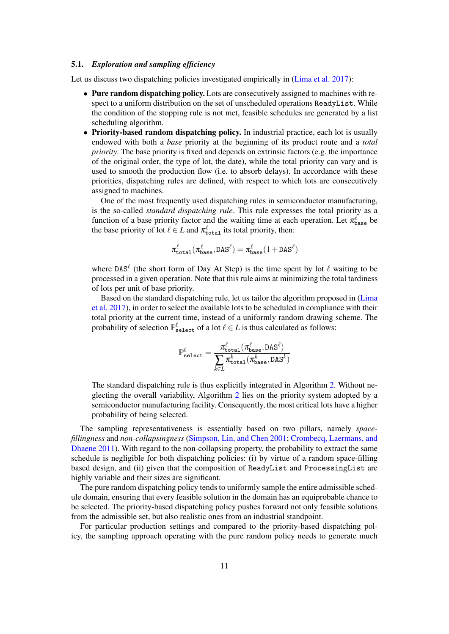## <span id="page-12-0"></span>5.1. *Exploration and sampling efficiency*

Let us discuss two dispatching policies investigated empirically in [\(Lima et al.](#page-27-0) [2017\)](#page-27-0):

- Pure random dispatching policy. Lots are consecutively assigned to machines with respect to a uniform distribution on the set of unscheduled operations ReadyList. While the condition of the stopping rule is not met, feasible schedules are generated by a list scheduling algorithm.
- Priority-based random dispatching policy. In industrial practice, each lot is usually endowed with both a *base* priority at the beginning of its product route and a *total priority*. The base priority is fixed and depends on extrinsic factors (e.g. the importance of the original order, the type of lot, the date), while the total priority can vary and is used to smooth the production flow (i.e. to absorb delays). In accordance with these priorities, dispatching rules are defined, with respect to which lots are consecutively assigned to machines.

One of the most frequently used dispatching rules in semiconductor manufacturing, is the so-called *standard dispatching rule*. This rule expresses the total priority as a function of a base priority factor and the waiting time at each operation. Let  $\pi_{base}^{\ell}$  be the base priority of lot  $\ell \in L$  and  $\pi_{total}^{\ell}$  its total priority, then:

$$
\pi_{\texttt{total}}^\ell(\pi_{\texttt{base}}^\ell, \texttt{DAS}^\ell) = \pi_{\texttt{base}}^\ell(1 + \texttt{DAS}^\ell)
$$

where DAS<sup> $\ell$ </sup> (the short form of Day At Step) is the time spent by lot  $\ell$  waiting to be processed in a given operation. Note that this rule aims at minimizing the total tardiness of lots per unit of base priority.

Based on the standard dispatching rule, let us tailor the algorithm proposed in [\(Lima](#page-27-0) [et al.](#page-27-0) [2017\)](#page-27-0), in order to select the available lots to be scheduled in compliance with their total priority at the current time, instead of a uniformly random drawing scheme. The probability of selection  $\mathbb{P}_{\text{select}}^{\ell}$  of a lot  $\ell \in L$  is thus calculated as follows:

$$
\mathbb{P}_{\text{select}}^{\ell} = \frac{\pi_{\text{total}}^{\ell}(\pi_{\text{base}}^{\ell}, \text{DAS}^{\ell})}{\displaystyle \sum_{k \in L} \pi_{\text{total}}^k(\pi_{\text{base}}^k, \text{DAS}^k)}
$$

The standard dispatching rule is thus explicitly integrated in Algorithm [2.](#page-10-1) Without neglecting the overall variability, Algorithm [2](#page-10-1) lies on the priority system adopted by a semiconductor manufacturing facility. Consequently, the most critical lots have a higher probability of being selected.

The sampling representativeness is essentially based on two pillars, namely *spacefillingness* and *non-collapsingness* [\(Simpson, Lin, and Chen](#page-28-18) [2001;](#page-28-18) [Crombecq, Laermans, and](#page-27-18) [Dhaene](#page-27-18) [2011\)](#page-27-18). With regard to the non-collapsing property, the probability to extract the same schedule is negligible for both dispatching policies: (i) by virtue of a random space-filling based design, and (ii) given that the composition of ReadyList and ProcessingList are highly variable and their sizes are significant.

The pure random dispatching policy tends to uniformly sample the entire admissible schedule domain, ensuring that every feasible solution in the domain has an equiprobable chance to be selected. The priority-based dispatching policy pushes forward not only feasible solutions from the admissible set, but also realistic ones from an industrial standpoint.

For particular production settings and compared to the priority-based dispatching policy, the sampling approach operating with the pure random policy needs to generate much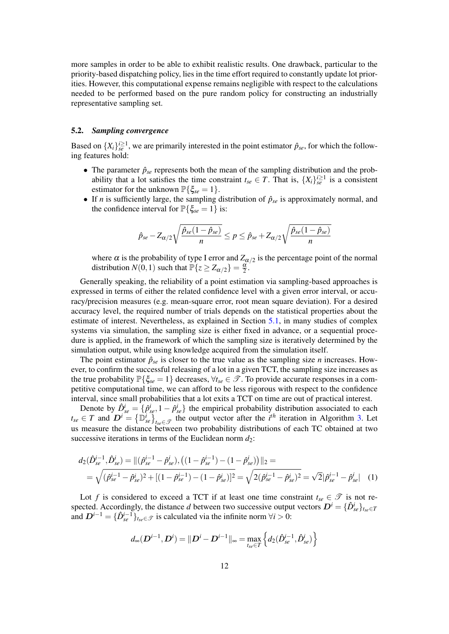more samples in order to be able to exhibit realistic results. One drawback, particular to the priority-based dispatching policy, lies in the time effort required to constantly update lot priorities. However, this computational expense remains negligible with respect to the calculations needed to be performed based on the pure random policy for constructing an industrially representative sampling set.

## <span id="page-13-0"></span>5.2. *Sampling convergence*

Based on  $\{X_i\}_{s=1}^{i\geq 1}$ , we are primarily interested in the point estimator  $\hat{p}_{se}$ , for which the following features hold:

- The parameter  $\hat{p}_{se}$  represents both the mean of the sampling distribution and the probability that a lot satisfies the time constraint  $t_{se} \in T$ . That is,  $\{X_i\}_{se}^{i \geq 1}$  is a consistent estimator for the unknown  $\mathbb{P}\{\xi_{se}=1\}.$
- If *n* is sufficiently large, the sampling distribution of  $\hat{p}_{se}$  is approximately normal, and the confidence interval for  $\mathbb{P}\{\xi_{se} = 1\}$  is:

$$
\hat{p}_{se} - Z_{\alpha/2} \sqrt{\frac{\hat{p}_{se}(1-\hat{p}_{se})}{n}} \le p \le \hat{p}_{se} + Z_{\alpha/2} \sqrt{\frac{\hat{p}_{se}(1-\hat{p}_{se})}{n}}
$$

where  $\alpha$  is the probability of type I error and  $Z_{\alpha/2}$  is the percentage point of the normal distribution  $N(0, 1)$  such that  $\mathbb{P}\lbrace z \geq Z_{\alpha/2} \rbrace = \frac{\alpha}{2}$ .

Generally speaking, the reliability of a point estimation via sampling-based approaches is expressed in terms of either the related confidence level with a given error interval, or accuracy/precision measures (e.g. mean-square error, root mean square deviation). For a desired accuracy level, the required number of trials depends on the statistical properties about the estimate of interest. Nevertheless, as explained in Section [5.1,](#page-12-0) in many studies of complex systems via simulation, the sampling size is either fixed in advance, or a sequential procedure is applied, in the framework of which the sampling size is iteratively determined by the simulation output, while using knowledge acquired from the simulation itself.

The point estimator  $\hat{p}_{se}$  is closer to the true value as the sampling size *n* increases. However, to confirm the successful releasing of a lot in a given TCT, the sampling size increases as the true probability  $\mathbb{P}\{\xi_{se} = 1\}$  decreases,  $\forall t_{se} \in \mathcal{T}$ . To provide accurate responses in a competitive computational time, we can afford to be less rigorous with respect to the confidence interval, since small probabilities that a lot exits a TCT on time are out of practical interest.

Denote by  $\hat{D}_{se}^{i} = \{\hat{p}_{se}^{i}, 1 - \hat{p}_{se}^{i}\}\$  the empirical probability distribution associated to each  $t_{se} \in T$  and  $\overline{D}^i = {\{\overline{\mathbb{D}_{se}^i}\}}_{t_{se} \in \mathcal{T}}$  the output vector after the *i*<sup>th</sup> iteration in Algorithm [3.](#page-15-2) Let us measure the distance between two probability distributions of each TC obtained at two successive iterations in terms of the Euclidean norm  $d_2$ :

$$
d_2(\hat{D}_{se}^{i-1}, \hat{D}_{se}^i) = ||(\hat{p}_{se}^{i-1} - \hat{p}_{se}^i), ((1 - \hat{p}_{se}^{i-1}) - (1 - \hat{p}_{se}^i))||_2 =
$$
  
=  $\sqrt{(\hat{p}_{se}^{i-1} - \hat{p}_{se}^i)^2 + [(1 - \hat{p}_{se}^{i-1}) - (1 - \hat{p}_{se}^i)]^2} = \sqrt{2(\hat{p}_{se}^{i-1} - \hat{p}_{se}^i)^2} = \sqrt{2}|\hat{p}_{se}^{i-1} - \hat{p}_{se}^i|$  (1)

Lot *f* is considered to exceed a TCT if at least one time constraint  $t_{se} \in \mathcal{T}$  is not respected. Accordingly, the distance *d* between two successive output vectors  $D^i = \{\hat{D}^i_{se}\}_{t_{se} \in T}$ and  $D^{i-1} = {\{\hat{D}_{se}^{i-1}\}}_{tse} \in \mathcal{T}$  is calculated via the infinite norm  $\forall i > 0$ :

<span id="page-13-1"></span>
$$
d_{\infty}(\mathbf{D}^{i-1}, \mathbf{D}^i) = ||\mathbf{D}^i - \mathbf{D}^{i-1}||_{\infty} = \max_{t_{se} \in T} \left\{ d_2(\hat{\mathbf{D}}_{se}^{i-1}, \hat{\mathbf{D}}_{se}^i) \right\}
$$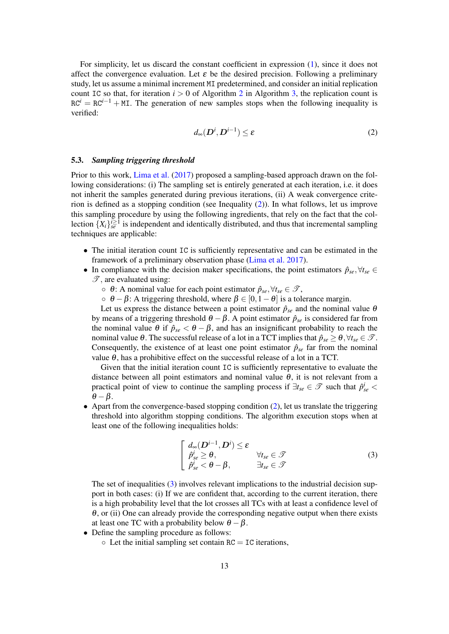For simplicity, let us discard the constant coefficient in expression [\(1\)](#page-13-1), since it does not affect the convergence evaluation. Let  $\varepsilon$  be the desired precision. Following a preliminary study, let us assume a minimal increment MI predetermined, and consider an initial replication count IC so that, for iteration  $i > 0$  of Algorithm [2](#page-10-2) in Algorithm [3,](#page-15-2) the replication count is  $RC<sup>i</sup> = RC<sup>i-1</sup> + ML$ . The generation of new samples stops when the following inequality is verified:

<span id="page-14-1"></span>
$$
d_{\infty}(\mathbf{D}^i, \mathbf{D}^{i-1}) \le \varepsilon \tag{2}
$$

## <span id="page-14-0"></span>5.3. *Sampling triggering threshold*

Prior to this work, [Lima et al.](#page-27-0) [\(2017\)](#page-27-0) proposed a sampling-based approach drawn on the following considerations: (i) The sampling set is entirely generated at each iteration, i.e. it does not inherit the samples generated during previous iterations, (ii) A weak convergence criterion is defined as a stopping condition (see Inequality [\(2\)](#page-14-1)). In what follows, let us improve this sampling procedure by using the following ingredients, that rely on the fact that the collection  $\{X_i\}_{se}^{i\geq 1}$  is independent and identically distributed, and thus that incremental sampling techniques are applicable:

- The initial iteration count IC is sufficiently representative and can be estimated in the framework of a preliminary observation phase [\(Lima et al.](#page-27-0) [2017\)](#page-27-0).
- In compliance with the decision maker specifications, the point estimators  $\hat{p}_{se}$ ,  $\forall t_{se} \in$  $\mathscr{T}$ , are evaluated using:
	- $\circ$   $\theta$ : A nominal value for each point estimator  $\hat{p}_{se}$ ,  $\forall t_{se} \in \mathcal{T}$ ,
	- $\circ$   $\theta \beta$ : A triggering threshold, where  $\beta \in [0, 1-\theta]$  is a tolerance margin.

Let us express the distance between a point estimator  $\hat{p}_{se}$  and the nominal value  $\theta$ by means of a triggering threshold  $\theta - \beta$ . A point estimator  $\hat{p}_{se}$  is considered far from the nominal value  $\theta$  if  $\hat{p}_{se} < \theta - \beta$ , and has an insignificant probability to reach the nominal value  $\theta$ . The successful release of a lot in a TCT implies that  $\hat{p}_{se} \geq \theta$ ,  $\forall t_{se} \in \mathcal{T}$ . Consequently, the existence of at least one point estimator  $\hat{p}_{se}$  far from the nominal value  $\theta$ , has a prohibitive effect on the successful release of a lot in a TCT.

Given that the initial iteration count IC is sufficiently representative to evaluate the distance between all point estimators and nominal value  $\theta$ , it is not relevant from a practical point of view to continue the sampling process if  $\exists t_{se} \in \mathcal{T}$  such that  $\hat{p}_{se}^i$  <  $\theta - \beta$ .

• Apart from the convergence-based stopping condition [\(2\)](#page-14-1), let us translate the triggering threshold into algorithm stopping conditions. The algorithm execution stops when at least one of the following inequalities holds:

<span id="page-14-2"></span>
$$
\begin{cases}\n d_{\infty}(\mathbf{D}^{i-1}, \mathbf{D}^{i}) \leq \varepsilon \\
 \hat{p}_{se}^{i} \geq \theta, & \forall t_{se} \in \mathcal{T} \\
 \hat{p}_{se}^{i} < \theta - \beta, & \exists t_{se} \in \mathcal{T}\n\end{cases}
$$
\n(3)

The set of inequalities [\(3\)](#page-14-2) involves relevant implications to the industrial decision support in both cases: (i) If we are confident that, according to the current iteration, there is a high probability level that the lot crosses all TCs with at least a confidence level of  $\theta$ , or (ii) One can already provide the corresponding negative output when there exists at least one TC with a probability below  $\theta - \beta$ .

- Define the sampling procedure as follows:
	- $\circ$  Let the initial sampling set contain RC = IC iterations,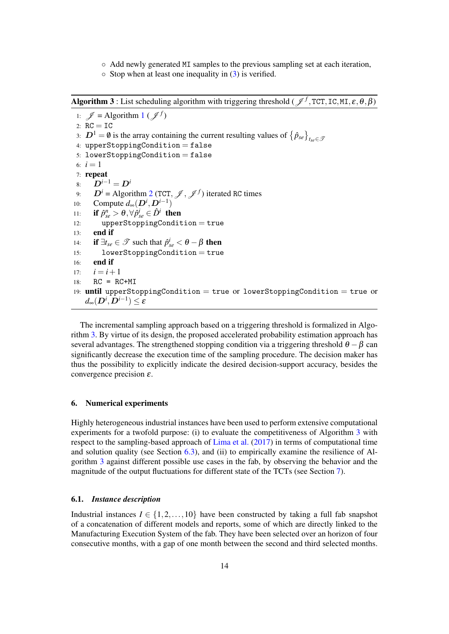- Add newly generated MI samples to the previous sampling set at each iteration,
- $\circ$  Stop when at least one inequality in [\(3\)](#page-14-2) is verified.

**Algorithm 3**: List scheduling algorithm with triggering threshold ( $\mathcal{J}^f$ , TCT, IC, MI,  $\varepsilon$ ,  $\theta$ ,  $\beta$ )

[1](#page-8-0):  $\mathcal{J} =$  Algorithm 1 ( $\mathcal{J}^f$ ) 2:  $RC = IC$ 3:  $D^1 = \emptyset$  is the array containing the current resulting values of  $\{\hat{p}_{se}\}_{t_{se}\in\mathcal{I}}$ 4: upperStoppingCondition =  $false$  $5:$  lowerStoppingCondition = false 6:  $i = 1$ 7: repeat 8:  $D^{i-1} = D^i$ 9:  $D^i$  = Algorithm [2](#page-10-1) (TCT,  $\mathcal{J}$ ,  $\mathcal{J}^f$ ) iterated RC times 10: Compute  $d_{\infty}(\mathbf{D}^i, \mathbf{D}^{i-1})$ 11: if  $\hat{p}_{se}^n > \theta, \forall \hat{p}_{se}^i \in \hat{D}^i$  then 12: upperStoppingCondition = true 13: end if 14: **if**  $\exists t_{se} \in \mathcal{T}$  such that  $\hat{p}_{se}^i < \theta - \beta$  then 15: lowerStoppingCondition = true 16: end if 17:  $i = i + 1$  $18: \quad RC = RC+MI$ 19: until upperStoppingCondition = true or lowerStoppingCondition = true or  $d_{\infty}(\boldsymbol{D}^i, \boldsymbol{D}^{i-1}) \leq \pmb{\varepsilon}$ 

<span id="page-15-2"></span>The incremental sampling approach based on a triggering threshold is formalized in Algorithm [3.](#page-15-2) By virtue of its design, the proposed accelerated probability estimation approach has several advantages. The strengthened stopping condition via a triggering threshold  $\theta - \beta$  can significantly decrease the execution time of the sampling procedure. The decision maker has thus the possibility to explicitly indicate the desired decision-support accuracy, besides the convergence precision  $\varepsilon$ .

## <span id="page-15-0"></span>6. Numerical experiments

Highly heterogeneous industrial instances have been used to perform extensive computational experiments for a twofold purpose: (i) to evaluate the competitiveness of Algorithm [3](#page-15-2) with respect to the sampling-based approach of [Lima et al.](#page-27-0) [\(2017\)](#page-27-0) in terms of computational time and solution quality (see Section [6.3\)](#page-17-0), and (ii) to empirically examine the resilience of Algorithm [3](#page-15-2) against different possible use cases in the fab, by observing the behavior and the magnitude of the output fluctuations for different state of the TCTs (see Section [7\)](#page-19-0).

## <span id="page-15-1"></span>6.1. *Instance description*

Industrial instances  $I \in \{1, 2, ..., 10\}$  have been constructed by taking a full fab snapshot of a concatenation of different models and reports, some of which are directly linked to the Manufacturing Execution System of the fab. They have been selected over an horizon of four consecutive months, with a gap of one month between the second and third selected months.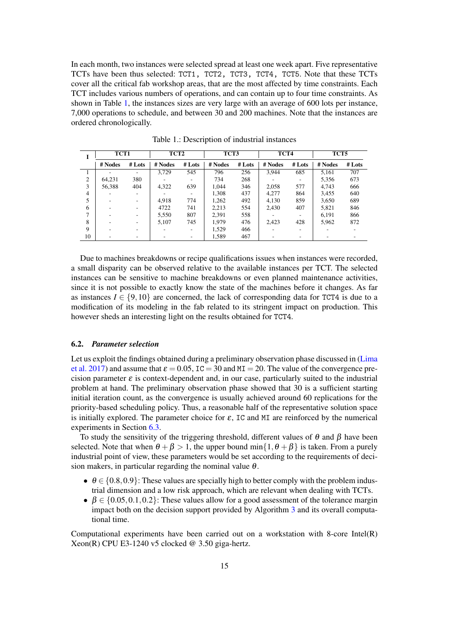In each month, two instances were selected spread at least one week apart. Five representative TCTs have been thus selected: TCT1, TCT2, TCT3, TCT4, TCT5. Note that these TCTs cover all the critical fab workshop areas, that are the most affected by time constraints. Each TCT includes various numbers of operations, and can contain up to four time constraints. As shown in Table [1,](#page-16-0) the instances sizes are very large with an average of 600 lots per instance, 7,000 operations to schedule, and between 30 and 200 machines. Note that the instances are ordered chronologically.

<span id="page-16-0"></span>

|                | TCT1    |        | TCT2    |          | TCT3    |          | TCT4    |          | TCT5    |          |  |
|----------------|---------|--------|---------|----------|---------|----------|---------|----------|---------|----------|--|
|                | # Nodes | # Lots | # Nodes | $#$ Lots | # Nodes | $#$ Lots | # Nodes | $#$ Lots | # Nodes | $#$ Lots |  |
|                |         |        | 3.729   | 545      | 796     | 256      | 3.944   | 685      | 5,161   | 707      |  |
| $\overline{c}$ | 64.231  | 380    |         |          | 734     | 268      |         |          | 5,356   | 673      |  |
| 3              | 56.388  | 404    | 4,322   | 639      | 1.044   | 346      | 2,058   | 577      | 4.743   | 666      |  |
| 4              |         |        |         |          | 1.308   | 437      | 4.277   | 864      | 3,455   | 640      |  |
|                |         |        | 4.918   | 774      | 1,262   | 492      | 4,130   | 859      | 3,650   | 689      |  |
| 6              |         |        | 4722    | 741      | 2,213   | 554      | 2,430   | 407      | 5,821   | 846      |  |
|                |         |        | 5,550   | 807      | 2,391   | 558      |         |          | 6.191   | 866      |  |
| 8              |         |        | 5.107   | 745      | 1.979   | 476      | 2,423   | 428      | 5,962   | 872      |  |
| 9              |         |        |         |          | 1,529   | 466      |         |          |         |          |  |
| 10             |         |        |         |          | 1.589   | 467      |         |          |         |          |  |

Table 1.: Description of industrial instances

Due to machines breakdowns or recipe qualifications issues when instances were recorded, a small disparity can be observed relative to the available instances per TCT. The selected instances can be sensitive to machine breakdowns or even planned maintenance activities, since it is not possible to exactly know the state of the machines before it changes. As far as instances  $I \in \{9, 10\}$  are concerned, the lack of corresponding data for TCT4 is due to a modification of its modeling in the fab related to its stringent impact on production. This however sheds an interesting light on the results obtained for TCT4.

## 6.2. *Parameter selection*

Let us exploit the findings obtained during a preliminary observation phase discussed in [\(Lima](#page-27-0) [et al.](#page-27-0) [2017\)](#page-27-0) and assume that  $\varepsilon = 0.05$ , IC = 30 and MI = 20. The value of the convergence precision parameter  $\varepsilon$  is context-dependent and, in our case, particularly suited to the industrial problem at hand. The preliminary observation phase showed that 30 is a sufficient starting initial iteration count, as the convergence is usually achieved around 60 replications for the priority-based scheduling policy. Thus, a reasonable half of the representative solution space is initially explored. The parameter choice for  $\varepsilon$ , IC and MI are reinforced by the numerical experiments in Section [6.3.](#page-17-0)

To study the sensitivity of the triggering threshold, different values of  $\theta$  and  $\beta$  have been selected. Note that when  $\theta + \beta > 1$ , the upper bound min $\{1, \theta + \beta\}$  is taken. From a purely industrial point of view, these parameters would be set according to the requirements of decision makers, in particular regarding the nominal value  $\theta$ .

- $\theta \in \{0.8, 0.9\}$ : These values are specially high to better comply with the problem industrial dimension and a low risk approach, which are relevant when dealing with TCTs.
- $\beta \in \{0.05, 0.1, 0.2\}$ : These values allow for a good assessment of the tolerance margin impact both on the decision support provided by Algorithm [3](#page-15-2) and its overall computational time.

Computational experiments have been carried out on a workstation with 8-core Intel(R) Xeon(R) CPU E3-1240 v5 clocked  $@$  3.50 giga-hertz.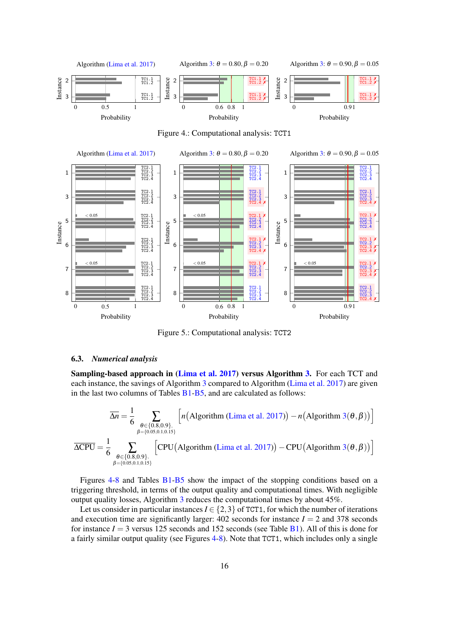<span id="page-17-1"></span>

Figure 5.: Computational analysis: TCT2

## <span id="page-17-0"></span>6.3. *Numerical analysis*

Sampling-based approach in [\(Lima et al.](#page-27-0) [2017\)](#page-27-0) versus Algorithm [3.](#page-15-2) For each TCT and each instance, the savings of Algorithm [3](#page-15-2) compared to Algorithm [\(Lima et al.](#page-27-0) [2017\)](#page-27-0) are given in the last two columns of Tables [B1](#page-22-1)[-B5,](#page-26-0) and are calculated as follows:

$$
\overline{\Delta n} = \frac{1}{6} \sum_{\substack{\theta \in \{0.8, 0.9\}, \\ \beta = \{0.05, 0.1, 0.15\}}} \left[ n(\text{Algorithm (Lima et al. 2017)}) - n(\text{Algorithm } 3(\theta, \beta)) \right]
$$

$$
\overline{\Delta CPU} = \frac{1}{6} \sum_{\substack{\theta \in \{0.8, 0.9\}, \\ \beta = \{0.05, 0.1, 0.15\}}} \left[ \text{CPU}(\text{Algorithm (Lima et al. 2017)}) - \text{CPU}(\text{Algorithm } 3(\theta, \beta)) \right]
$$

Figures [4-](#page-17-1)[8](#page-20-0) and Tables [B1-](#page-22-1)[B5](#page-26-0) show the impact of the stopping conditions based on a triggering threshold, in terms of the output quality and computational times. With negligible output quality losses, Algorithm [3](#page-15-2) reduces the computational times by about 45%.

Let us consider in particular instances  $I \in \{2,3\}$  of TCT1, for which the number of iterations and execution time are significantly larger:  $402$  seconds for instance  $I = 2$  and 378 seconds for instance  $I = 3$  versus 125 seconds and 152 seconds (see Table  $B1$ ). All of this is done for a fairly similar output quality (see Figures [4-](#page-17-1)[8\)](#page-20-0). Note that TCT1, which includes only a single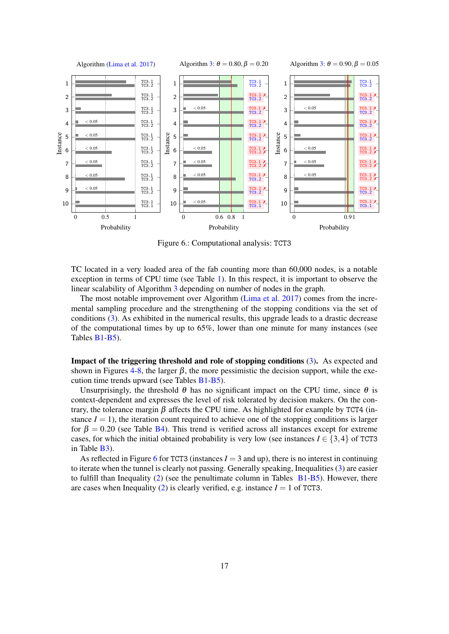<span id="page-18-0"></span>

Figure 6.: Computational analysis: TCT3

TC located in a very loaded area of the fab counting more than 60,000 nodes, is a notable exception in terms of CPU time (see Table [1\)](#page-16-0). In this respect, it is important to observe the linear scalability of Algorithm [3](#page-15-2) depending on number of nodes in the graph.

The most notable improvement over Algorithm [\(Lima et al.](#page-27-0) [2017\)](#page-27-0) comes from the incremental sampling procedure and the strengthening of the stopping conditions via the set of conditions [\(3\)](#page-14-2). As exhibited in the numerical results, this upgrade leads to a drastic decrease of the computational times by up to 65%, lower than one minute for many instances (see Tables [B1](#page-22-1)[-B5\)](#page-26-0).

Impact of the triggering threshold and role of stopping conditions [\(3\)](#page-14-2). As expected and shown in Figures [4](#page-17-1)[-8,](#page-20-0) the larger  $\beta$ , the more pessimistic the decision support, while the execution time trends upward (see Tables [B1-](#page-22-1)[B5\)](#page-26-0).

Unsurprisingly, the threshold  $\theta$  has no significant impact on the CPU time, since  $\theta$  is context-dependent and expresses the level of risk tolerated by decision makers. On the contrary, the tolerance margin β affects the CPU time. As highlighted for example by TCT4 (instance  $I = 1$ ), the iteration count required to achieve one of the stopping conditions is larger for  $\beta = 0.20$  (see Table [B4\)](#page-25-0). This trend is verified across all instances except for extreme cases, for which the initial obtained probability is very low (see instances  $I \in \{3,4\}$  of TCT3 in Table [B3\)](#page-24-0).

As reflected in Figure [6](#page-18-0) for TCT3 (instances  $I = 3$  and up), there is no interest in continuing to iterate when the tunnel is clearly not passing. Generally speaking, Inequalities [\(3\)](#page-14-2) are easier to fulfill than Inequality  $(2)$  (see the penultimate column in Tables  $B1-B5$  $B1-B5$ ). However, there are cases when Inequality [\(2\)](#page-14-1) is clearly verified, e.g. instance  $I = 1$  of TCT3.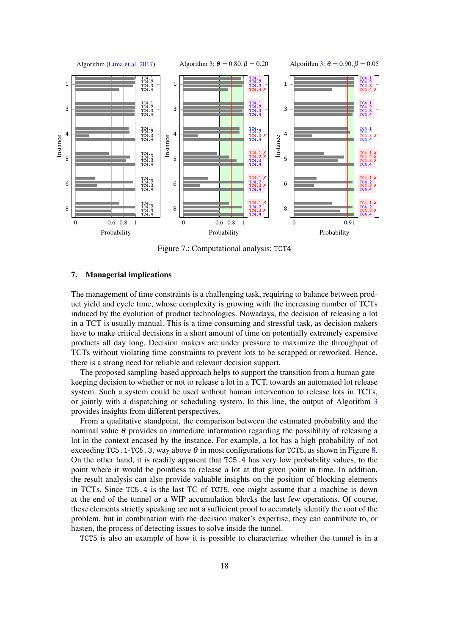

Figure 7.: Computational analysis: TCT4

#### <span id="page-19-0"></span>7. Managerial implications

The management of time constraints is a challenging task, requiring to balance between product yield and cycle time, whose complexity is growing with the increasing number of TCTs induced by the evolution of product technologies. Nowadays, the decision of releasing a lot in a TCT is usually manual. This is a time consuming and stressful task, as decision makers have to make critical decisions in a short amount of time on potentially extremely expensive products all day long. Decision makers are under pressure to maximize the throughput of TCTs without violating time constraints to prevent lots to be scrapped or reworked. Hence, there is a strong need for reliable and relevant decision support.

The proposed sampling-based approach helps to support the transition from a human gatekeeping decision to whether or not to release a lot in a TCT, towards an automated lot release system. Such a system could be used without human intervention to release lots in TCTs, or jointly with a dispatching or scheduling system. In this line, the output of Algorithm [3](#page-15-2) provides insights from different perspectives.

From a qualitative standpoint, the comparison between the estimated probability and the nominal value  $\theta$  provides an immediate information regarding the possibility of releasing a lot in the context encased by the instance. For example, a lot has a high probability of not exceeding TC5.1-TC5.3, way above  $\theta$  in most configurations for TCT5, as shown in Figure [8.](#page-20-0) On the other hand, it is readily apparent that TC5.4 has very low probability values, to the point where it would be pointless to release a lot at that given point in time. In addition, the result analysis can also provide valuable insights on the position of blocking elements in TCTs. Since TC5.4 is the last TC of TCT5, one might assume that a machine is down at the end of the tunnel or a WIP accumulation blocks the last few operations. Of course, these elements strictly speaking are not a sufficient proof to accurately identify the root of the problem, but in combination with the decision maker's expertise, they can contribute to, or hasten, the process of detecting issues to solve inside the tunnel.

TCT5 is also an example of how it is possible to characterize whether the tunnel is in a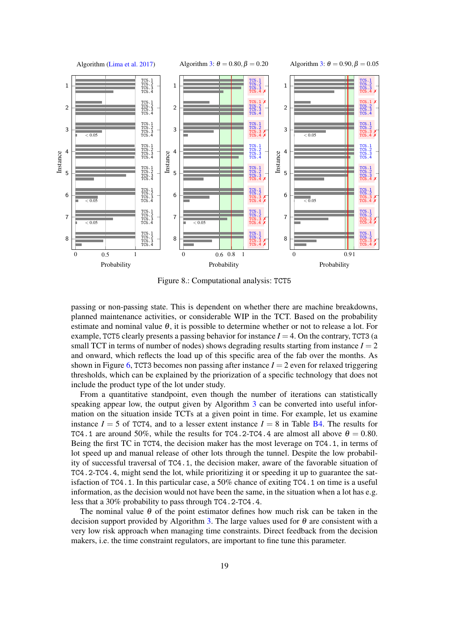<span id="page-20-0"></span>

Figure 8.: Computational analysis: TCT5

passing or non-passing state. This is dependent on whether there are machine breakdowns, planned maintenance activities, or considerable WIP in the TCT. Based on the probability estimate and nominal value  $\theta$ , it is possible to determine whether or not to release a lot. For example, TCT5 clearly presents a passing behavior for instance  $I = 4$ . On the contrary, TCT3 (a small TCT in terms of number of nodes) shows degrading results starting from instance  $I = 2$ and onward, which reflects the load up of this specific area of the fab over the months. As shown in Figure [6,](#page-18-0) TCT3 becomes non passing after instance  $I = 2$  even for relaxed triggering thresholds, which can be explained by the priorization of a specific technology that does not include the product type of the lot under study.

From a quantitative standpoint, even though the number of iterations can statistically speaking appear low, the output given by Algorithm [3](#page-15-2) can be converted into useful information on the situation inside TCTs at a given point in time. For example, let us examine instance  $I = 5$  of TCT4, and to a lesser extent instance  $I = 8$  in Table [B4.](#page-25-0) The results for TC4.1 are around 50%, while the results for TC4.2-TC4.4 are almost all above  $\theta = 0.80$ . Being the first TC in TCT4, the decision maker has the most leverage on TC4.1, in terms of lot speed up and manual release of other lots through the tunnel. Despite the low probability of successful traversal of TC4.1, the decision maker, aware of the favorable situation of TC4.2-TC4.4, might send the lot, while prioritizing it or speeding it up to guarantee the satisfaction of TC4.1. In this particular case, a 50% chance of exiting TC4.1 on time is a useful information, as the decision would not have been the same, in the situation when a lot has e.g. less that a 30% probability to pass through TC4.2-TC4.4.

The nominal value  $\theta$  of the point estimator defines how much risk can be taken in the decision support provided by Algorithm [3.](#page-15-2) The large values used for  $\theta$  are consistent with a very low risk approach when managing time constraints. Direct feedback from the decision makers, i.e. the time constraint regulators, are important to fine tune this parameter.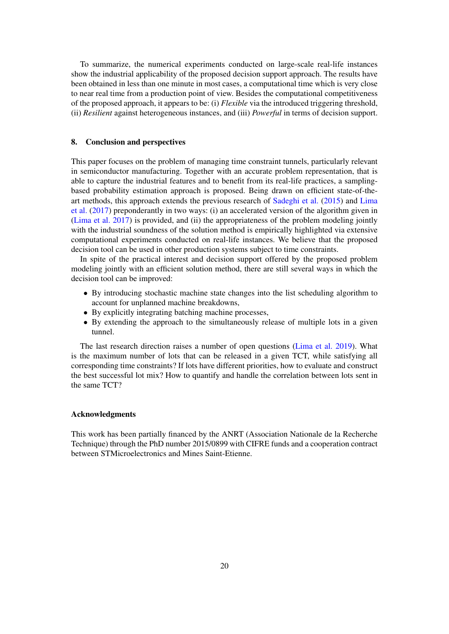To summarize, the numerical experiments conducted on large-scale real-life instances show the industrial applicability of the proposed decision support approach. The results have been obtained in less than one minute in most cases, a computational time which is very close to near real time from a production point of view. Besides the computational competitiveness of the proposed approach, it appears to be: (i) *Flexible* via the introduced triggering threshold, (ii) *Resilient* against heterogeneous instances, and (iii) *Powerful* in terms of decision support.

## <span id="page-21-0"></span>8. Conclusion and perspectives

This paper focuses on the problem of managing time constraint tunnels, particularly relevant in semiconductor manufacturing. Together with an accurate problem representation, that is able to capture the industrial features and to benefit from its real-life practices, a samplingbased probability estimation approach is proposed. Being drawn on efficient state-of-theart methods, this approach extends the previous research of [Sadeghi et al.](#page-28-1) [\(2015\)](#page-28-1) and [Lima](#page-27-0) [et al.](#page-27-0) [\(2017\)](#page-27-0) preponderantly in two ways: (i) an accelerated version of the algorithm given in [\(Lima et al.](#page-27-0) [2017\)](#page-27-0) is provided, and (ii) the appropriateness of the problem modeling jointly with the industrial soundness of the solution method is empirically highlighted via extensive computational experiments conducted on real-life instances. We believe that the proposed decision tool can be used in other production systems subject to time constraints.

In spite of the practical interest and decision support offered by the proposed problem modeling jointly with an efficient solution method, there are still several ways in which the decision tool can be improved:

- By introducing stochastic machine state changes into the list scheduling algorithm to account for unplanned machine breakdowns,
- By explicitly integrating batching machine processes,
- By extending the approach to the simultaneously release of multiple lots in a given tunnel.

The last research direction raises a number of open questions [\(Lima et al.](#page-28-0) [2019\)](#page-28-0). What is the maximum number of lots that can be released in a given TCT, while satisfying all corresponding time constraints? If lots have different priorities, how to evaluate and construct the best successful lot mix? How to quantify and handle the correlation between lots sent in the same TCT?

## Acknowledgments

This work has been partially financed by the ANRT (Association Nationale de la Recherche Technique) through the PhD number 2015/0899 with CIFRE funds and a cooperation contract between STMicroelectronics and Mines Saint-Etienne.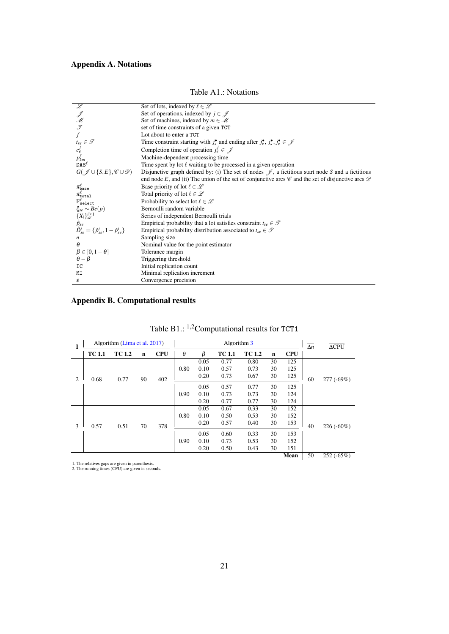# Appendix A. Notations

<span id="page-22-0"></span>

| $\mathscr L$                                                                                                                  | Set of lots, indexed by $\ell \in \mathcal{L}$                                                                                     |
|-------------------------------------------------------------------------------------------------------------------------------|------------------------------------------------------------------------------------------------------------------------------------|
|                                                                                                                               | Set of operations, indexed by $j \in \mathcal{J}$                                                                                  |
|                                                                                                                               | Set of machines, indexed by $m \in \mathcal{M}$                                                                                    |
| J<br>M<br>T                                                                                                                   | set of time constraints of a given TCT                                                                                             |
| $\overline{f}$                                                                                                                | Lot about to enter a TCT                                                                                                           |
|                                                                                                                               | Time constraint starting with $j_s^{\bullet}$ and ending after $j_e^{\bullet}$ , $j_s^{\bullet}$ , $j_e^{\bullet} \in \mathcal{J}$ |
| $t_{se} \in \mathcal{T}$<br>$c_e^f$<br>$p_{km}^{\ell}$<br>$\texttt{DAS}^{\ell}$                                               | Completion time of operation $j_e^f \in \mathcal{J}$                                                                               |
|                                                                                                                               | Machine-dependent processing time                                                                                                  |
|                                                                                                                               | Time spent by lot $\ell$ waiting to be processed in a given operation                                                              |
| $G(\mathscr{J}\cup\{S,E\},\mathscr{C}\cup\mathscr{D})$                                                                        | Disjunctive graph defined by: (i) The set of nodes $\mathscr J$ , a fictitious start node S and a fictitious                       |
|                                                                                                                               | end node E, and (ii) The union of the set of conjunctive arcs $\mathscr C$ and the set of disjunctive arcs $\mathscr D$            |
|                                                                                                                               | Base priority of lot $\ell \in \mathcal{L}$                                                                                        |
| $\pi^\ell_\text{base} \ \pi^\ell_\text{total} \ \mathbb{P}^\ell_\text{select} \ \xi_{se} \sim Be(p) \ \{X_i\}_{se}^{i\geq 1}$ | Total priority of lot $\ell \in \mathcal{L}$                                                                                       |
|                                                                                                                               | Probability to select lot $\ell \in \mathcal{L}$                                                                                   |
|                                                                                                                               | Bernoulli random variable                                                                                                          |
|                                                                                                                               | Series of independent Bernoulli trials                                                                                             |
|                                                                                                                               | Empirical probability that a lot satisfies constraint $t_{se} \in \mathcal{T}$                                                     |
| $\hat{p}_{se}$<br>$\hat{D}_{se}^{i} = \{\hat{p}_{se}^{i}, 1 - \hat{p}_{se}^{i}\}\$                                            | Empirical probability distribution associated to $t_{se} \in \mathcal{T}$                                                          |
| n                                                                                                                             | Sampling size                                                                                                                      |
| $\theta$                                                                                                                      | Nominal value for the point estimator                                                                                              |
| $\beta \in [0, 1-\theta]$                                                                                                     | Tolerance margin                                                                                                                   |
| $\theta-\beta$                                                                                                                | Triggering threshold                                                                                                               |
| IC                                                                                                                            | Initial replication count                                                                                                          |
| MΙ                                                                                                                            | Minimal replication increment                                                                                                      |
| ε                                                                                                                             | Convergence precision                                                                                                              |

## Table A1.: Notations

## Appendix B. Computational results

<span id="page-22-1"></span>

|                |               | Algorithm (Lima et al. 2017) |    |            |          |      | Algorithm 3   |               |             |            | $\Delta n$ | $\overline{\Delta CPU}$ |
|----------------|---------------|------------------------------|----|------------|----------|------|---------------|---------------|-------------|------------|------------|-------------------------|
|                | <b>TC 1.1</b> | <b>TC 1.2</b>                | n  | <b>CPU</b> | $\theta$ | ß    | <b>TC 1.1</b> | <b>TC 1.2</b> | $\mathbf n$ | <b>CPU</b> |            |                         |
|                |               |                              |    |            |          | 0.05 | 0.77          | 0.80          | 30          | 125        |            |                         |
|                |               |                              |    |            | 0.80     | 0.10 | 0.57          | 0.73          | 30          | 125        |            |                         |
| $\overline{2}$ | 0.68          | 0.77                         | 90 | 402        |          | 0.20 | 0.73          | 0.67          | 30          | 125        | 60         | 277 (-69%)              |
|                |               |                              |    |            |          | 0.05 | 0.57          | 0.77          | 30          | 125        |            |                         |
|                |               |                              |    |            | 0.90     | 0.10 | 0.73          | 0.73          | 30          | 124        |            |                         |
|                |               |                              |    |            |          | 0.20 | 0.77          | 0.77          | 30          | 124        |            |                         |
|                |               |                              | 70 | 378        |          | 0.05 | 0.67          | 0.33          | 30          | 152        |            |                         |
|                |               |                              |    |            | 0.80     | 0.10 | 0.50          | 0.53          | 30          | 152        |            |                         |
| 3              | 0.57          | 0.51                         |    |            |          | 0.20 | 0.57          | 0.40          | 30          | 153        | 40         | $226(-60\%)$            |
|                |               |                              |    |            |          | 0.05 | 0.60          | 0.33          | 30          | 153        |            |                         |
|                |               |                              |    |            | 0.90     | 0.10 | 0.73          | 0.53          | 30          | 152        |            |                         |
|                |               |                              |    |            |          | 0.20 | 0.50          | 0.43          | 30          | 151        |            |                         |
|                |               |                              |    |            |          |      |               |               |             | Mean       | 50         | $252(-65%)$             |

Table B1.: <sup>1</sup>,2Computational results for TCT1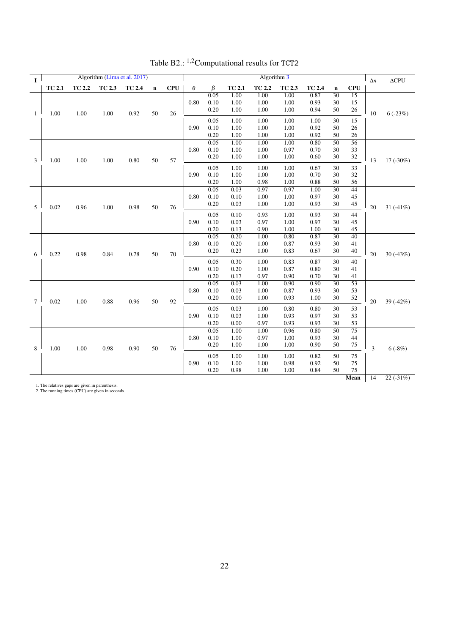| $\bf{I}$     |               |               |               | Algorithm (Lima et al. 2017) |             |            |          |              |               | Algorithm 3   |               |               |                 |                 | $\overline{\Delta n}$ | $\overline{\Delta CPU}$ |
|--------------|---------------|---------------|---------------|------------------------------|-------------|------------|----------|--------------|---------------|---------------|---------------|---------------|-----------------|-----------------|-----------------------|-------------------------|
|              | <b>TC 2.1</b> | <b>TC 2.2</b> | <b>TC 2.3</b> | <b>TC 2.4</b>                | $\mathbf n$ | <b>CPU</b> | $\theta$ | $\beta$      | <b>TC 2.1</b> | <b>TC 2.2</b> | <b>TC 2.3</b> | <b>TC 2.4</b> | $\mathbf n$     | <b>CPU</b>      |                       |                         |
|              |               |               |               |                              |             |            |          | 0.05         | 1.00          | 1.00          | 1.00          | 0.87          | $\overline{30}$ | 15              |                       |                         |
|              |               |               |               |                              |             |            | 0.80     | 0.10         | 1.00          | 1.00          | 1.00          | 0.93          | 30              | 15              |                       |                         |
| $\mathbf{1}$ | $1.00\,$      | 1.00          | 1.00          | 0.92                         | 50          | 26         |          | 0.20         | 1.00          | 1.00          | 1.00          | 0.94          | 50              | 26              | 10                    | $6(-23%)$               |
|              |               |               |               |                              |             |            |          | 0.05         | 1.00          | 1.00          | 1.00          | 1.00          | 30              | 15              |                       |                         |
|              |               |               |               |                              |             |            | 0.90     | 0.10         | 1.00          | 1.00          | 1.00          | 0.92          | 50              | 26              |                       |                         |
|              |               |               |               |                              |             |            |          | 0.20         | 1.00          | 1.00          | 1.00          | 0.92          | 50              | 26              |                       |                         |
|              |               |               |               |                              |             |            |          | 0.05         | 1.00          | 1.00          | 1.00          | 0.80          | $\overline{50}$ | 56              |                       |                         |
|              |               |               |               |                              |             |            | 0.80     | 0.10         | 1.00          | 1.00          | 0.97          | 0.70          | 30              | 33              |                       |                         |
|              |               |               |               |                              |             |            |          | 0.20         | 1.00          | 1.00          | 1.00          | 0.60          | 30              | 32              |                       |                         |
| 3            | 1.00          | 1.00          | 1.00          | 0.80                         | 50          | 57         |          |              |               |               |               |               |                 |                 | 13                    | $17(-30\%)$             |
|              |               |               |               |                              |             |            |          | 0.05         | 1.00          | 1.00          | 1.00          | 0.67          | 30              | 33              |                       |                         |
|              |               |               |               |                              |             |            | 0.90     | 0.10         | 1.00          | $1.00\,$      | 1.00          | 0.70          | 30              | 32              |                       |                         |
|              |               |               |               |                              |             |            |          | 0.20<br>0.05 | 1.00          | 0.98          | 1.00          | 0.88<br>1.00  | 50              | 56              |                       |                         |
|              |               |               |               |                              |             |            | 0.80     | 0.10         | 0.03<br>0.10  | 0.97<br>1.00  | 0.97          | 0.97          | $\overline{30}$ | 44              |                       |                         |
|              |               |               |               |                              |             |            |          | 0.20         | 0.03          | 1.00          | 1.00<br>1.00  | 0.93          | 30<br>30        | 45              |                       |                         |
| 5            | 0.02          | 0.96          | 1.00          | 0.98                         | 50          | 76         |          |              |               |               |               |               |                 | 45              | 20                    | 31 $(-41%)$             |
|              |               |               |               |                              |             |            |          | 0.05         | 0.10          | 0.93          | 1.00          | 0.93          | 30              | 44              |                       |                         |
|              |               |               |               |                              |             |            | 0.90     | 0.10         | 0.03          | 0.97          | 1.00          | 0.97          | 30              | 45              |                       |                         |
|              |               |               |               |                              |             |            |          | 0.20         | 0.13          | 0.90          | 1.00          | 1.00          | 30              | 45              |                       |                         |
|              |               |               |               |                              |             |            |          | 0.05         | 0.20          | 1.00          | 0.80          | 0.87          | $\overline{30}$ | $\overline{40}$ |                       |                         |
|              |               |               |               |                              |             |            | 0.80     | 0.10         | 0.20          | 1.00          | 0.87          | 0.93          | 30              | 41              |                       |                         |
| 6            | 0.22          | 0.98          | 0.84          | 0.78                         | 50          | 70         |          | 0.20         | 0.23          | 1.00          | 0.83          | 0.67          | 30              | 40              | 20                    | $30(-43%)$              |
|              |               |               |               |                              |             |            |          | 0.05         | 0.30          | 1.00          | 0.83          | 0.87          | 30              | 40              |                       |                         |
|              |               |               |               |                              |             |            | 0.90     | 0.10         | 0.20          | 1.00          | 0.87          | 0.80          | 30              | 41              |                       |                         |
|              |               |               |               |                              |             |            |          | 0.20         | 0.17          | 0.97          | 0.90          | 0.70          | 30              | 41              |                       |                         |
|              |               |               |               |                              |             |            |          | 0.05         | 0.03          | 1.00          | 0.90          | 0.90          | $\overline{30}$ | $\overline{53}$ |                       |                         |
|              |               |               |               |                              |             |            | 0.80     | 0.10         | 0.03          | $1.00\,$      | 0.87          | 0.93          | 30              | 53              |                       |                         |
|              |               |               |               |                              |             |            |          | 0.20         | 0.00          | 1.00          | 0.93          | 1.00          | 30              | 52              |                       |                         |
| $\tau$       | 0.02          | 1.00          | 0.88          | 0.96                         | 50          | 92         |          |              |               |               |               |               |                 |                 | 20                    | 39 (-42%)               |
|              |               |               |               |                              |             |            |          | 0.05         | 0.03          | 1.00          | 0.80          | 0.80          | 30              | 53              |                       |                         |
|              |               |               |               |                              |             |            | 0.90     | 0.10         | 0.03          | 1.00          | 0.93          | 0.97          | 30              | 53              |                       |                         |
|              |               |               |               |                              |             |            |          | 0.20         | 0.00          | 0.97          | 0.93          | 0.93          | 30              | 53              |                       |                         |
|              |               |               |               |                              |             |            | 0.80     | 0.05         | 1.00          | 1.00<br>0.97  | 0.96          | 0.80<br>0.93  | 50              | 75<br>44        |                       |                         |
|              |               |               |               |                              |             |            |          | 0.10<br>0.20 | 1.00<br>1.00  | 1.00          | 1.00<br>1.00  | 0.90          | 30<br>50        |                 |                       |                         |
| 8            | $1.00\,$      | 1.00          | 0.98          | 0.90                         | 50          | 76         |          |              |               |               |               |               |                 | 75              | $\overline{3}$        | $6(-8%)$                |
|              |               |               |               |                              |             |            |          | 0.05         | 1.00          | 1.00          | 1.00          | 0.82          | 50              | 75              |                       |                         |
|              |               |               |               |                              |             |            | 0.90     | 0.10         | 1.00          | 1.00          | 0.98          | 0.92          | 50              | 75              |                       |                         |
|              |               |               |               |                              |             |            |          | 0.20         | 0.98          | 1.00          | 1.00          | 0.84          | 50              | 75              |                       |                         |
|              |               |               |               |                              |             |            |          |              |               |               |               |               |                 | <b>Mean</b>     | $\overline{14}$       | $22(-31%)$              |

Table B2.: <sup>1</sup>,2Computational results for TCT2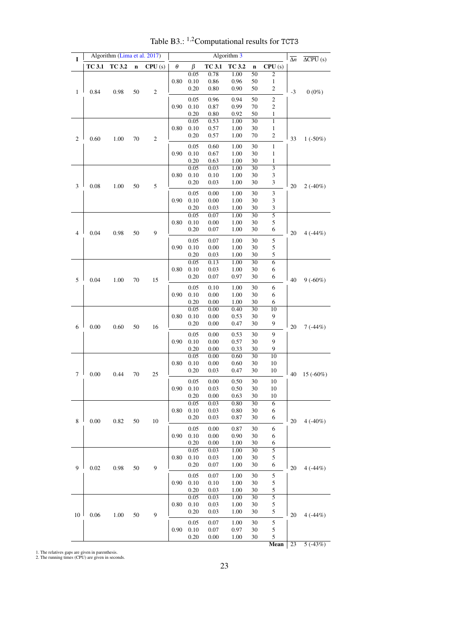<span id="page-24-0"></span>

| <b>TC 3.2</b><br><b>TC 3.1</b><br>TC 3.1<br><b>TC 3.2</b><br>$\mathbf n$<br>CPU(s)<br>θ<br>β<br>CPU(s)<br>$\bf n$<br>0.05<br>0.78<br>1.00<br>50<br>$\overline{c}$<br>0.10<br>50<br>0.80<br>0.86<br>0.96<br>1<br>0.20<br>0.90<br>$\boldsymbol{2}$<br>0.80<br>50<br>0.84<br>0.98<br>50<br>$\sqrt{2}$<br>$-3$<br>$0(0\%)$<br>$\mathbf{1}$<br>50<br>$\mathfrak{2}$<br>0.05<br>0.96<br>0.94<br>0.90<br>0.10<br>0.87<br>0.99<br>70<br>$\mathfrak{2}$<br>0.20<br>50<br>0.80<br>0.92<br>1<br>0.05<br>0.53<br>30<br>1.00<br>$\mathbf{1}$<br>0.80<br>0.10<br>$\,1$<br>0.57<br>1.00<br>30<br>0.20<br>0.57<br>1.00<br>70<br>$\overline{\mathbf{c}}$<br>1.00<br>2<br>0.60<br>70<br>2<br>33<br>$1(-50\%)$<br>0.05<br>0.60<br>30<br>$\,1$<br>1.00<br>0.90<br>0.10<br>0.67<br>30<br>1.00<br>1<br>0.20<br>1.00<br>0.63<br>30<br>$\mathbf{1}$<br>$\overline{\overline{3}}$<br>0.05<br>$\overline{30}$<br>0.03<br>1.00<br>0.80<br>0.10<br>0.10<br>1.00<br>30<br>3<br>0.20<br>0.03<br>1.00<br>30<br>$\sqrt{3}$<br>$0.08\,$<br>1.00<br>50<br>5<br>20<br>$2(-40%)$<br>3<br>0.05<br>0.00<br>30<br>$\sqrt{3}$<br>1.00<br>0.90<br>0.10<br>$0.00\,$<br>1.00<br>30<br>$\sqrt{3}$<br>0.20<br>0.03<br>1.00<br>30<br>3<br>$\overline{5}$<br>$\overline{30}$<br>0.05<br>0.07<br>1.00<br>0.10<br>$0.00\,$<br>30<br>5<br>0.80<br>1.00<br>0.07<br>$1.00\,$<br>30<br>0.20<br>6<br>0.98<br>$\overline{4}$<br>0.04<br>50<br>9<br>20<br>4(.44%)<br>0.05<br>0.07<br>30<br>1.00<br>5<br>0.90<br>0.10<br>$0.00\,$<br>1.00<br>30<br>5<br>5<br>0.20<br>0.03<br>1.00<br>30<br>0.05<br>$\overline{30}$<br>$\overline{6}$<br>0.13<br>1.00<br>0.80<br>0.10<br>0.03<br>1.00<br>30<br>6<br>0.20<br>0.07<br>0.97<br>30<br>6<br>5<br>0.04<br>1.00<br>70<br>15<br>40<br>$9(-60\%)$<br>30<br>0.05<br>0.10<br>1.00<br>6<br>0.90<br>0.10<br>0.00<br>1.00<br>30<br>6<br>0.20<br>0.00<br>1.00<br>30<br>6<br>0.05<br>$\overline{30}$<br>10<br>0.00<br>0.40<br>0.80<br>0.10<br>0.00<br>0.53<br>30<br>9<br>0.20<br>0.00<br>30<br>0.47<br>9<br>0.00<br>0.60<br>20<br>6<br>50<br>16<br>$7(-44%)$<br>0.00<br>30<br>9<br>0.05<br>0.53<br>0.90<br>0.10<br>0.00<br>0.57<br>30<br>9<br>0.20<br>0.00<br>0.33<br>30<br>9<br>0.05<br>0.00<br>0.60<br>30<br>10<br>0.80<br>0.10<br>0.00<br>0.60<br>30<br>10<br>0.20<br>0.03<br>0.47<br>30<br>10<br>7<br>0.00<br>70<br>40<br>0.44<br>25<br>$15(-60\%)$<br>0.00<br>30<br>0.05<br>0.50<br>10<br>0.90<br>0.10<br>0.03<br>0.50<br>30<br>10<br>0.20<br>0.63<br>0.00<br>30<br>10<br>0.05<br>0.80<br>0.03<br>$\overline{30}$<br>$\overline{6}$<br>0.10<br>0.03<br>0.80<br>0.80<br>30<br>6<br>0.20<br>0.03<br>0.87<br>30<br>6<br>8<br>0.00<br>0.82<br>50<br>10<br>20<br>$4(.40\%)$<br>0.05<br>0.00<br>0.87<br>30<br>6<br>0.90<br>0.10<br>0.00<br>0.90<br>30<br>6<br>0.20<br>0.00<br>1.00<br>30<br>6<br>5<br>0.05<br>1.00<br>30<br>0.03<br>0.10<br>0.80<br>0.03<br>1.00<br>30<br>5<br>0.20<br>1.00<br>0.07<br>30<br>6<br>0.98<br>9<br>0.02<br>50<br>9<br>20<br>4(.44%)<br>5<br>0.05<br>0.07<br>1.00<br>30<br>0.90<br>0.10<br>1.00<br>30<br>0.10<br>5<br>5<br>0.20<br>0.03<br>1.00<br>30<br>0.05<br>$\overline{30}$<br>$\overline{5}$<br>0.03<br>1.00<br>0.10<br>5<br>0.80<br>0.03<br>1.00<br>30<br>0.20<br>0.03<br>1.00<br>30<br>5<br>0.06<br>1.00<br>50<br>9<br>10<br>20<br>4(.44%)<br>5<br>0.05<br>0.07<br>1.00<br>30<br>0.10<br>0.07<br>0.97<br>0.90<br>30<br>5<br>0.20<br>5<br>0.00<br>1.00<br>30<br>23<br>$5( -43%)$<br>Mean | I |  | Algorithm (Lima et al. 2017) |  |  |  | $\overline{\Delta n}$ | $\overline{\Delta CPU}$ (s) |  |  |  |
|-------------------------------------------------------------------------------------------------------------------------------------------------------------------------------------------------------------------------------------------------------------------------------------------------------------------------------------------------------------------------------------------------------------------------------------------------------------------------------------------------------------------------------------------------------------------------------------------------------------------------------------------------------------------------------------------------------------------------------------------------------------------------------------------------------------------------------------------------------------------------------------------------------------------------------------------------------------------------------------------------------------------------------------------------------------------------------------------------------------------------------------------------------------------------------------------------------------------------------------------------------------------------------------------------------------------------------------------------------------------------------------------------------------------------------------------------------------------------------------------------------------------------------------------------------------------------------------------------------------------------------------------------------------------------------------------------------------------------------------------------------------------------------------------------------------------------------------------------------------------------------------------------------------------------------------------------------------------------------------------------------------------------------------------------------------------------------------------------------------------------------------------------------------------------------------------------------------------------------------------------------------------------------------------------------------------------------------------------------------------------------------------------------------------------------------------------------------------------------------------------------------------------------------------------------------------------------------------------------------------------------------------------------------------------------------------------------------------------------------------------------------------------------------------------------------------------------------------------------------------------------------------------------------------------------------------------------------------------------------------------------------------------------------------------------------------------------------------------------------------------------------------------------------------------------------------------------------------------------------------------------------------------------------------------------------------------------------------------------------------------------------------------|---|--|------------------------------|--|--|--|-----------------------|-----------------------------|--|--|--|
|                                                                                                                                                                                                                                                                                                                                                                                                                                                                                                                                                                                                                                                                                                                                                                                                                                                                                                                                                                                                                                                                                                                                                                                                                                                                                                                                                                                                                                                                                                                                                                                                                                                                                                                                                                                                                                                                                                                                                                                                                                                                                                                                                                                                                                                                                                                                                                                                                                                                                                                                                                                                                                                                                                                                                                                                                                                                                                                                                                                                                                                                                                                                                                                                                                                                                                                                                                                                 |   |  |                              |  |  |  |                       |                             |  |  |  |
|                                                                                                                                                                                                                                                                                                                                                                                                                                                                                                                                                                                                                                                                                                                                                                                                                                                                                                                                                                                                                                                                                                                                                                                                                                                                                                                                                                                                                                                                                                                                                                                                                                                                                                                                                                                                                                                                                                                                                                                                                                                                                                                                                                                                                                                                                                                                                                                                                                                                                                                                                                                                                                                                                                                                                                                                                                                                                                                                                                                                                                                                                                                                                                                                                                                                                                                                                                                                 |   |  |                              |  |  |  |                       |                             |  |  |  |
|                                                                                                                                                                                                                                                                                                                                                                                                                                                                                                                                                                                                                                                                                                                                                                                                                                                                                                                                                                                                                                                                                                                                                                                                                                                                                                                                                                                                                                                                                                                                                                                                                                                                                                                                                                                                                                                                                                                                                                                                                                                                                                                                                                                                                                                                                                                                                                                                                                                                                                                                                                                                                                                                                                                                                                                                                                                                                                                                                                                                                                                                                                                                                                                                                                                                                                                                                                                                 |   |  |                              |  |  |  |                       |                             |  |  |  |
|                                                                                                                                                                                                                                                                                                                                                                                                                                                                                                                                                                                                                                                                                                                                                                                                                                                                                                                                                                                                                                                                                                                                                                                                                                                                                                                                                                                                                                                                                                                                                                                                                                                                                                                                                                                                                                                                                                                                                                                                                                                                                                                                                                                                                                                                                                                                                                                                                                                                                                                                                                                                                                                                                                                                                                                                                                                                                                                                                                                                                                                                                                                                                                                                                                                                                                                                                                                                 |   |  |                              |  |  |  |                       |                             |  |  |  |
|                                                                                                                                                                                                                                                                                                                                                                                                                                                                                                                                                                                                                                                                                                                                                                                                                                                                                                                                                                                                                                                                                                                                                                                                                                                                                                                                                                                                                                                                                                                                                                                                                                                                                                                                                                                                                                                                                                                                                                                                                                                                                                                                                                                                                                                                                                                                                                                                                                                                                                                                                                                                                                                                                                                                                                                                                                                                                                                                                                                                                                                                                                                                                                                                                                                                                                                                                                                                 |   |  |                              |  |  |  |                       |                             |  |  |  |
|                                                                                                                                                                                                                                                                                                                                                                                                                                                                                                                                                                                                                                                                                                                                                                                                                                                                                                                                                                                                                                                                                                                                                                                                                                                                                                                                                                                                                                                                                                                                                                                                                                                                                                                                                                                                                                                                                                                                                                                                                                                                                                                                                                                                                                                                                                                                                                                                                                                                                                                                                                                                                                                                                                                                                                                                                                                                                                                                                                                                                                                                                                                                                                                                                                                                                                                                                                                                 |   |  |                              |  |  |  |                       |                             |  |  |  |
|                                                                                                                                                                                                                                                                                                                                                                                                                                                                                                                                                                                                                                                                                                                                                                                                                                                                                                                                                                                                                                                                                                                                                                                                                                                                                                                                                                                                                                                                                                                                                                                                                                                                                                                                                                                                                                                                                                                                                                                                                                                                                                                                                                                                                                                                                                                                                                                                                                                                                                                                                                                                                                                                                                                                                                                                                                                                                                                                                                                                                                                                                                                                                                                                                                                                                                                                                                                                 |   |  |                              |  |  |  |                       |                             |  |  |  |
|                                                                                                                                                                                                                                                                                                                                                                                                                                                                                                                                                                                                                                                                                                                                                                                                                                                                                                                                                                                                                                                                                                                                                                                                                                                                                                                                                                                                                                                                                                                                                                                                                                                                                                                                                                                                                                                                                                                                                                                                                                                                                                                                                                                                                                                                                                                                                                                                                                                                                                                                                                                                                                                                                                                                                                                                                                                                                                                                                                                                                                                                                                                                                                                                                                                                                                                                                                                                 |   |  |                              |  |  |  |                       |                             |  |  |  |
|                                                                                                                                                                                                                                                                                                                                                                                                                                                                                                                                                                                                                                                                                                                                                                                                                                                                                                                                                                                                                                                                                                                                                                                                                                                                                                                                                                                                                                                                                                                                                                                                                                                                                                                                                                                                                                                                                                                                                                                                                                                                                                                                                                                                                                                                                                                                                                                                                                                                                                                                                                                                                                                                                                                                                                                                                                                                                                                                                                                                                                                                                                                                                                                                                                                                                                                                                                                                 |   |  |                              |  |  |  |                       |                             |  |  |  |
|                                                                                                                                                                                                                                                                                                                                                                                                                                                                                                                                                                                                                                                                                                                                                                                                                                                                                                                                                                                                                                                                                                                                                                                                                                                                                                                                                                                                                                                                                                                                                                                                                                                                                                                                                                                                                                                                                                                                                                                                                                                                                                                                                                                                                                                                                                                                                                                                                                                                                                                                                                                                                                                                                                                                                                                                                                                                                                                                                                                                                                                                                                                                                                                                                                                                                                                                                                                                 |   |  |                              |  |  |  |                       |                             |  |  |  |
|                                                                                                                                                                                                                                                                                                                                                                                                                                                                                                                                                                                                                                                                                                                                                                                                                                                                                                                                                                                                                                                                                                                                                                                                                                                                                                                                                                                                                                                                                                                                                                                                                                                                                                                                                                                                                                                                                                                                                                                                                                                                                                                                                                                                                                                                                                                                                                                                                                                                                                                                                                                                                                                                                                                                                                                                                                                                                                                                                                                                                                                                                                                                                                                                                                                                                                                                                                                                 |   |  |                              |  |  |  |                       |                             |  |  |  |
|                                                                                                                                                                                                                                                                                                                                                                                                                                                                                                                                                                                                                                                                                                                                                                                                                                                                                                                                                                                                                                                                                                                                                                                                                                                                                                                                                                                                                                                                                                                                                                                                                                                                                                                                                                                                                                                                                                                                                                                                                                                                                                                                                                                                                                                                                                                                                                                                                                                                                                                                                                                                                                                                                                                                                                                                                                                                                                                                                                                                                                                                                                                                                                                                                                                                                                                                                                                                 |   |  |                              |  |  |  |                       |                             |  |  |  |
|                                                                                                                                                                                                                                                                                                                                                                                                                                                                                                                                                                                                                                                                                                                                                                                                                                                                                                                                                                                                                                                                                                                                                                                                                                                                                                                                                                                                                                                                                                                                                                                                                                                                                                                                                                                                                                                                                                                                                                                                                                                                                                                                                                                                                                                                                                                                                                                                                                                                                                                                                                                                                                                                                                                                                                                                                                                                                                                                                                                                                                                                                                                                                                                                                                                                                                                                                                                                 |   |  |                              |  |  |  |                       |                             |  |  |  |
|                                                                                                                                                                                                                                                                                                                                                                                                                                                                                                                                                                                                                                                                                                                                                                                                                                                                                                                                                                                                                                                                                                                                                                                                                                                                                                                                                                                                                                                                                                                                                                                                                                                                                                                                                                                                                                                                                                                                                                                                                                                                                                                                                                                                                                                                                                                                                                                                                                                                                                                                                                                                                                                                                                                                                                                                                                                                                                                                                                                                                                                                                                                                                                                                                                                                                                                                                                                                 |   |  |                              |  |  |  |                       |                             |  |  |  |
|                                                                                                                                                                                                                                                                                                                                                                                                                                                                                                                                                                                                                                                                                                                                                                                                                                                                                                                                                                                                                                                                                                                                                                                                                                                                                                                                                                                                                                                                                                                                                                                                                                                                                                                                                                                                                                                                                                                                                                                                                                                                                                                                                                                                                                                                                                                                                                                                                                                                                                                                                                                                                                                                                                                                                                                                                                                                                                                                                                                                                                                                                                                                                                                                                                                                                                                                                                                                 |   |  |                              |  |  |  |                       |                             |  |  |  |
|                                                                                                                                                                                                                                                                                                                                                                                                                                                                                                                                                                                                                                                                                                                                                                                                                                                                                                                                                                                                                                                                                                                                                                                                                                                                                                                                                                                                                                                                                                                                                                                                                                                                                                                                                                                                                                                                                                                                                                                                                                                                                                                                                                                                                                                                                                                                                                                                                                                                                                                                                                                                                                                                                                                                                                                                                                                                                                                                                                                                                                                                                                                                                                                                                                                                                                                                                                                                 |   |  |                              |  |  |  |                       |                             |  |  |  |
|                                                                                                                                                                                                                                                                                                                                                                                                                                                                                                                                                                                                                                                                                                                                                                                                                                                                                                                                                                                                                                                                                                                                                                                                                                                                                                                                                                                                                                                                                                                                                                                                                                                                                                                                                                                                                                                                                                                                                                                                                                                                                                                                                                                                                                                                                                                                                                                                                                                                                                                                                                                                                                                                                                                                                                                                                                                                                                                                                                                                                                                                                                                                                                                                                                                                                                                                                                                                 |   |  |                              |  |  |  |                       |                             |  |  |  |
|                                                                                                                                                                                                                                                                                                                                                                                                                                                                                                                                                                                                                                                                                                                                                                                                                                                                                                                                                                                                                                                                                                                                                                                                                                                                                                                                                                                                                                                                                                                                                                                                                                                                                                                                                                                                                                                                                                                                                                                                                                                                                                                                                                                                                                                                                                                                                                                                                                                                                                                                                                                                                                                                                                                                                                                                                                                                                                                                                                                                                                                                                                                                                                                                                                                                                                                                                                                                 |   |  |                              |  |  |  |                       |                             |  |  |  |
|                                                                                                                                                                                                                                                                                                                                                                                                                                                                                                                                                                                                                                                                                                                                                                                                                                                                                                                                                                                                                                                                                                                                                                                                                                                                                                                                                                                                                                                                                                                                                                                                                                                                                                                                                                                                                                                                                                                                                                                                                                                                                                                                                                                                                                                                                                                                                                                                                                                                                                                                                                                                                                                                                                                                                                                                                                                                                                                                                                                                                                                                                                                                                                                                                                                                                                                                                                                                 |   |  |                              |  |  |  |                       |                             |  |  |  |
|                                                                                                                                                                                                                                                                                                                                                                                                                                                                                                                                                                                                                                                                                                                                                                                                                                                                                                                                                                                                                                                                                                                                                                                                                                                                                                                                                                                                                                                                                                                                                                                                                                                                                                                                                                                                                                                                                                                                                                                                                                                                                                                                                                                                                                                                                                                                                                                                                                                                                                                                                                                                                                                                                                                                                                                                                                                                                                                                                                                                                                                                                                                                                                                                                                                                                                                                                                                                 |   |  |                              |  |  |  |                       |                             |  |  |  |
|                                                                                                                                                                                                                                                                                                                                                                                                                                                                                                                                                                                                                                                                                                                                                                                                                                                                                                                                                                                                                                                                                                                                                                                                                                                                                                                                                                                                                                                                                                                                                                                                                                                                                                                                                                                                                                                                                                                                                                                                                                                                                                                                                                                                                                                                                                                                                                                                                                                                                                                                                                                                                                                                                                                                                                                                                                                                                                                                                                                                                                                                                                                                                                                                                                                                                                                                                                                                 |   |  |                              |  |  |  |                       |                             |  |  |  |
|                                                                                                                                                                                                                                                                                                                                                                                                                                                                                                                                                                                                                                                                                                                                                                                                                                                                                                                                                                                                                                                                                                                                                                                                                                                                                                                                                                                                                                                                                                                                                                                                                                                                                                                                                                                                                                                                                                                                                                                                                                                                                                                                                                                                                                                                                                                                                                                                                                                                                                                                                                                                                                                                                                                                                                                                                                                                                                                                                                                                                                                                                                                                                                                                                                                                                                                                                                                                 |   |  |                              |  |  |  |                       |                             |  |  |  |
|                                                                                                                                                                                                                                                                                                                                                                                                                                                                                                                                                                                                                                                                                                                                                                                                                                                                                                                                                                                                                                                                                                                                                                                                                                                                                                                                                                                                                                                                                                                                                                                                                                                                                                                                                                                                                                                                                                                                                                                                                                                                                                                                                                                                                                                                                                                                                                                                                                                                                                                                                                                                                                                                                                                                                                                                                                                                                                                                                                                                                                                                                                                                                                                                                                                                                                                                                                                                 |   |  |                              |  |  |  |                       |                             |  |  |  |
|                                                                                                                                                                                                                                                                                                                                                                                                                                                                                                                                                                                                                                                                                                                                                                                                                                                                                                                                                                                                                                                                                                                                                                                                                                                                                                                                                                                                                                                                                                                                                                                                                                                                                                                                                                                                                                                                                                                                                                                                                                                                                                                                                                                                                                                                                                                                                                                                                                                                                                                                                                                                                                                                                                                                                                                                                                                                                                                                                                                                                                                                                                                                                                                                                                                                                                                                                                                                 |   |  |                              |  |  |  |                       |                             |  |  |  |
|                                                                                                                                                                                                                                                                                                                                                                                                                                                                                                                                                                                                                                                                                                                                                                                                                                                                                                                                                                                                                                                                                                                                                                                                                                                                                                                                                                                                                                                                                                                                                                                                                                                                                                                                                                                                                                                                                                                                                                                                                                                                                                                                                                                                                                                                                                                                                                                                                                                                                                                                                                                                                                                                                                                                                                                                                                                                                                                                                                                                                                                                                                                                                                                                                                                                                                                                                                                                 |   |  |                              |  |  |  |                       |                             |  |  |  |
|                                                                                                                                                                                                                                                                                                                                                                                                                                                                                                                                                                                                                                                                                                                                                                                                                                                                                                                                                                                                                                                                                                                                                                                                                                                                                                                                                                                                                                                                                                                                                                                                                                                                                                                                                                                                                                                                                                                                                                                                                                                                                                                                                                                                                                                                                                                                                                                                                                                                                                                                                                                                                                                                                                                                                                                                                                                                                                                                                                                                                                                                                                                                                                                                                                                                                                                                                                                                 |   |  |                              |  |  |  |                       |                             |  |  |  |
|                                                                                                                                                                                                                                                                                                                                                                                                                                                                                                                                                                                                                                                                                                                                                                                                                                                                                                                                                                                                                                                                                                                                                                                                                                                                                                                                                                                                                                                                                                                                                                                                                                                                                                                                                                                                                                                                                                                                                                                                                                                                                                                                                                                                                                                                                                                                                                                                                                                                                                                                                                                                                                                                                                                                                                                                                                                                                                                                                                                                                                                                                                                                                                                                                                                                                                                                                                                                 |   |  |                              |  |  |  |                       |                             |  |  |  |
|                                                                                                                                                                                                                                                                                                                                                                                                                                                                                                                                                                                                                                                                                                                                                                                                                                                                                                                                                                                                                                                                                                                                                                                                                                                                                                                                                                                                                                                                                                                                                                                                                                                                                                                                                                                                                                                                                                                                                                                                                                                                                                                                                                                                                                                                                                                                                                                                                                                                                                                                                                                                                                                                                                                                                                                                                                                                                                                                                                                                                                                                                                                                                                                                                                                                                                                                                                                                 |   |  |                              |  |  |  |                       |                             |  |  |  |
|                                                                                                                                                                                                                                                                                                                                                                                                                                                                                                                                                                                                                                                                                                                                                                                                                                                                                                                                                                                                                                                                                                                                                                                                                                                                                                                                                                                                                                                                                                                                                                                                                                                                                                                                                                                                                                                                                                                                                                                                                                                                                                                                                                                                                                                                                                                                                                                                                                                                                                                                                                                                                                                                                                                                                                                                                                                                                                                                                                                                                                                                                                                                                                                                                                                                                                                                                                                                 |   |  |                              |  |  |  |                       |                             |  |  |  |
|                                                                                                                                                                                                                                                                                                                                                                                                                                                                                                                                                                                                                                                                                                                                                                                                                                                                                                                                                                                                                                                                                                                                                                                                                                                                                                                                                                                                                                                                                                                                                                                                                                                                                                                                                                                                                                                                                                                                                                                                                                                                                                                                                                                                                                                                                                                                                                                                                                                                                                                                                                                                                                                                                                                                                                                                                                                                                                                                                                                                                                                                                                                                                                                                                                                                                                                                                                                                 |   |  |                              |  |  |  |                       |                             |  |  |  |
|                                                                                                                                                                                                                                                                                                                                                                                                                                                                                                                                                                                                                                                                                                                                                                                                                                                                                                                                                                                                                                                                                                                                                                                                                                                                                                                                                                                                                                                                                                                                                                                                                                                                                                                                                                                                                                                                                                                                                                                                                                                                                                                                                                                                                                                                                                                                                                                                                                                                                                                                                                                                                                                                                                                                                                                                                                                                                                                                                                                                                                                                                                                                                                                                                                                                                                                                                                                                 |   |  |                              |  |  |  |                       |                             |  |  |  |
|                                                                                                                                                                                                                                                                                                                                                                                                                                                                                                                                                                                                                                                                                                                                                                                                                                                                                                                                                                                                                                                                                                                                                                                                                                                                                                                                                                                                                                                                                                                                                                                                                                                                                                                                                                                                                                                                                                                                                                                                                                                                                                                                                                                                                                                                                                                                                                                                                                                                                                                                                                                                                                                                                                                                                                                                                                                                                                                                                                                                                                                                                                                                                                                                                                                                                                                                                                                                 |   |  |                              |  |  |  |                       |                             |  |  |  |
|                                                                                                                                                                                                                                                                                                                                                                                                                                                                                                                                                                                                                                                                                                                                                                                                                                                                                                                                                                                                                                                                                                                                                                                                                                                                                                                                                                                                                                                                                                                                                                                                                                                                                                                                                                                                                                                                                                                                                                                                                                                                                                                                                                                                                                                                                                                                                                                                                                                                                                                                                                                                                                                                                                                                                                                                                                                                                                                                                                                                                                                                                                                                                                                                                                                                                                                                                                                                 |   |  |                              |  |  |  |                       |                             |  |  |  |
|                                                                                                                                                                                                                                                                                                                                                                                                                                                                                                                                                                                                                                                                                                                                                                                                                                                                                                                                                                                                                                                                                                                                                                                                                                                                                                                                                                                                                                                                                                                                                                                                                                                                                                                                                                                                                                                                                                                                                                                                                                                                                                                                                                                                                                                                                                                                                                                                                                                                                                                                                                                                                                                                                                                                                                                                                                                                                                                                                                                                                                                                                                                                                                                                                                                                                                                                                                                                 |   |  |                              |  |  |  |                       |                             |  |  |  |
|                                                                                                                                                                                                                                                                                                                                                                                                                                                                                                                                                                                                                                                                                                                                                                                                                                                                                                                                                                                                                                                                                                                                                                                                                                                                                                                                                                                                                                                                                                                                                                                                                                                                                                                                                                                                                                                                                                                                                                                                                                                                                                                                                                                                                                                                                                                                                                                                                                                                                                                                                                                                                                                                                                                                                                                                                                                                                                                                                                                                                                                                                                                                                                                                                                                                                                                                                                                                 |   |  |                              |  |  |  |                       |                             |  |  |  |
|                                                                                                                                                                                                                                                                                                                                                                                                                                                                                                                                                                                                                                                                                                                                                                                                                                                                                                                                                                                                                                                                                                                                                                                                                                                                                                                                                                                                                                                                                                                                                                                                                                                                                                                                                                                                                                                                                                                                                                                                                                                                                                                                                                                                                                                                                                                                                                                                                                                                                                                                                                                                                                                                                                                                                                                                                                                                                                                                                                                                                                                                                                                                                                                                                                                                                                                                                                                                 |   |  |                              |  |  |  |                       |                             |  |  |  |
|                                                                                                                                                                                                                                                                                                                                                                                                                                                                                                                                                                                                                                                                                                                                                                                                                                                                                                                                                                                                                                                                                                                                                                                                                                                                                                                                                                                                                                                                                                                                                                                                                                                                                                                                                                                                                                                                                                                                                                                                                                                                                                                                                                                                                                                                                                                                                                                                                                                                                                                                                                                                                                                                                                                                                                                                                                                                                                                                                                                                                                                                                                                                                                                                                                                                                                                                                                                                 |   |  |                              |  |  |  |                       |                             |  |  |  |
|                                                                                                                                                                                                                                                                                                                                                                                                                                                                                                                                                                                                                                                                                                                                                                                                                                                                                                                                                                                                                                                                                                                                                                                                                                                                                                                                                                                                                                                                                                                                                                                                                                                                                                                                                                                                                                                                                                                                                                                                                                                                                                                                                                                                                                                                                                                                                                                                                                                                                                                                                                                                                                                                                                                                                                                                                                                                                                                                                                                                                                                                                                                                                                                                                                                                                                                                                                                                 |   |  |                              |  |  |  |                       |                             |  |  |  |
|                                                                                                                                                                                                                                                                                                                                                                                                                                                                                                                                                                                                                                                                                                                                                                                                                                                                                                                                                                                                                                                                                                                                                                                                                                                                                                                                                                                                                                                                                                                                                                                                                                                                                                                                                                                                                                                                                                                                                                                                                                                                                                                                                                                                                                                                                                                                                                                                                                                                                                                                                                                                                                                                                                                                                                                                                                                                                                                                                                                                                                                                                                                                                                                                                                                                                                                                                                                                 |   |  |                              |  |  |  |                       |                             |  |  |  |
|                                                                                                                                                                                                                                                                                                                                                                                                                                                                                                                                                                                                                                                                                                                                                                                                                                                                                                                                                                                                                                                                                                                                                                                                                                                                                                                                                                                                                                                                                                                                                                                                                                                                                                                                                                                                                                                                                                                                                                                                                                                                                                                                                                                                                                                                                                                                                                                                                                                                                                                                                                                                                                                                                                                                                                                                                                                                                                                                                                                                                                                                                                                                                                                                                                                                                                                                                                                                 |   |  |                              |  |  |  |                       |                             |  |  |  |
|                                                                                                                                                                                                                                                                                                                                                                                                                                                                                                                                                                                                                                                                                                                                                                                                                                                                                                                                                                                                                                                                                                                                                                                                                                                                                                                                                                                                                                                                                                                                                                                                                                                                                                                                                                                                                                                                                                                                                                                                                                                                                                                                                                                                                                                                                                                                                                                                                                                                                                                                                                                                                                                                                                                                                                                                                                                                                                                                                                                                                                                                                                                                                                                                                                                                                                                                                                                                 |   |  |                              |  |  |  |                       |                             |  |  |  |
|                                                                                                                                                                                                                                                                                                                                                                                                                                                                                                                                                                                                                                                                                                                                                                                                                                                                                                                                                                                                                                                                                                                                                                                                                                                                                                                                                                                                                                                                                                                                                                                                                                                                                                                                                                                                                                                                                                                                                                                                                                                                                                                                                                                                                                                                                                                                                                                                                                                                                                                                                                                                                                                                                                                                                                                                                                                                                                                                                                                                                                                                                                                                                                                                                                                                                                                                                                                                 |   |  |                              |  |  |  |                       |                             |  |  |  |
|                                                                                                                                                                                                                                                                                                                                                                                                                                                                                                                                                                                                                                                                                                                                                                                                                                                                                                                                                                                                                                                                                                                                                                                                                                                                                                                                                                                                                                                                                                                                                                                                                                                                                                                                                                                                                                                                                                                                                                                                                                                                                                                                                                                                                                                                                                                                                                                                                                                                                                                                                                                                                                                                                                                                                                                                                                                                                                                                                                                                                                                                                                                                                                                                                                                                                                                                                                                                 |   |  |                              |  |  |  |                       |                             |  |  |  |
|                                                                                                                                                                                                                                                                                                                                                                                                                                                                                                                                                                                                                                                                                                                                                                                                                                                                                                                                                                                                                                                                                                                                                                                                                                                                                                                                                                                                                                                                                                                                                                                                                                                                                                                                                                                                                                                                                                                                                                                                                                                                                                                                                                                                                                                                                                                                                                                                                                                                                                                                                                                                                                                                                                                                                                                                                                                                                                                                                                                                                                                                                                                                                                                                                                                                                                                                                                                                 |   |  |                              |  |  |  |                       |                             |  |  |  |
|                                                                                                                                                                                                                                                                                                                                                                                                                                                                                                                                                                                                                                                                                                                                                                                                                                                                                                                                                                                                                                                                                                                                                                                                                                                                                                                                                                                                                                                                                                                                                                                                                                                                                                                                                                                                                                                                                                                                                                                                                                                                                                                                                                                                                                                                                                                                                                                                                                                                                                                                                                                                                                                                                                                                                                                                                                                                                                                                                                                                                                                                                                                                                                                                                                                                                                                                                                                                 |   |  |                              |  |  |  |                       |                             |  |  |  |
|                                                                                                                                                                                                                                                                                                                                                                                                                                                                                                                                                                                                                                                                                                                                                                                                                                                                                                                                                                                                                                                                                                                                                                                                                                                                                                                                                                                                                                                                                                                                                                                                                                                                                                                                                                                                                                                                                                                                                                                                                                                                                                                                                                                                                                                                                                                                                                                                                                                                                                                                                                                                                                                                                                                                                                                                                                                                                                                                                                                                                                                                                                                                                                                                                                                                                                                                                                                                 |   |  |                              |  |  |  |                       |                             |  |  |  |
|                                                                                                                                                                                                                                                                                                                                                                                                                                                                                                                                                                                                                                                                                                                                                                                                                                                                                                                                                                                                                                                                                                                                                                                                                                                                                                                                                                                                                                                                                                                                                                                                                                                                                                                                                                                                                                                                                                                                                                                                                                                                                                                                                                                                                                                                                                                                                                                                                                                                                                                                                                                                                                                                                                                                                                                                                                                                                                                                                                                                                                                                                                                                                                                                                                                                                                                                                                                                 |   |  |                              |  |  |  |                       |                             |  |  |  |
|                                                                                                                                                                                                                                                                                                                                                                                                                                                                                                                                                                                                                                                                                                                                                                                                                                                                                                                                                                                                                                                                                                                                                                                                                                                                                                                                                                                                                                                                                                                                                                                                                                                                                                                                                                                                                                                                                                                                                                                                                                                                                                                                                                                                                                                                                                                                                                                                                                                                                                                                                                                                                                                                                                                                                                                                                                                                                                                                                                                                                                                                                                                                                                                                                                                                                                                                                                                                 |   |  |                              |  |  |  |                       |                             |  |  |  |
|                                                                                                                                                                                                                                                                                                                                                                                                                                                                                                                                                                                                                                                                                                                                                                                                                                                                                                                                                                                                                                                                                                                                                                                                                                                                                                                                                                                                                                                                                                                                                                                                                                                                                                                                                                                                                                                                                                                                                                                                                                                                                                                                                                                                                                                                                                                                                                                                                                                                                                                                                                                                                                                                                                                                                                                                                                                                                                                                                                                                                                                                                                                                                                                                                                                                                                                                                                                                 |   |  |                              |  |  |  |                       |                             |  |  |  |
|                                                                                                                                                                                                                                                                                                                                                                                                                                                                                                                                                                                                                                                                                                                                                                                                                                                                                                                                                                                                                                                                                                                                                                                                                                                                                                                                                                                                                                                                                                                                                                                                                                                                                                                                                                                                                                                                                                                                                                                                                                                                                                                                                                                                                                                                                                                                                                                                                                                                                                                                                                                                                                                                                                                                                                                                                                                                                                                                                                                                                                                                                                                                                                                                                                                                                                                                                                                                 |   |  |                              |  |  |  |                       |                             |  |  |  |
|                                                                                                                                                                                                                                                                                                                                                                                                                                                                                                                                                                                                                                                                                                                                                                                                                                                                                                                                                                                                                                                                                                                                                                                                                                                                                                                                                                                                                                                                                                                                                                                                                                                                                                                                                                                                                                                                                                                                                                                                                                                                                                                                                                                                                                                                                                                                                                                                                                                                                                                                                                                                                                                                                                                                                                                                                                                                                                                                                                                                                                                                                                                                                                                                                                                                                                                                                                                                 |   |  |                              |  |  |  |                       |                             |  |  |  |
|                                                                                                                                                                                                                                                                                                                                                                                                                                                                                                                                                                                                                                                                                                                                                                                                                                                                                                                                                                                                                                                                                                                                                                                                                                                                                                                                                                                                                                                                                                                                                                                                                                                                                                                                                                                                                                                                                                                                                                                                                                                                                                                                                                                                                                                                                                                                                                                                                                                                                                                                                                                                                                                                                                                                                                                                                                                                                                                                                                                                                                                                                                                                                                                                                                                                                                                                                                                                 |   |  |                              |  |  |  |                       |                             |  |  |  |
|                                                                                                                                                                                                                                                                                                                                                                                                                                                                                                                                                                                                                                                                                                                                                                                                                                                                                                                                                                                                                                                                                                                                                                                                                                                                                                                                                                                                                                                                                                                                                                                                                                                                                                                                                                                                                                                                                                                                                                                                                                                                                                                                                                                                                                                                                                                                                                                                                                                                                                                                                                                                                                                                                                                                                                                                                                                                                                                                                                                                                                                                                                                                                                                                                                                                                                                                                                                                 |   |  |                              |  |  |  |                       |                             |  |  |  |
|                                                                                                                                                                                                                                                                                                                                                                                                                                                                                                                                                                                                                                                                                                                                                                                                                                                                                                                                                                                                                                                                                                                                                                                                                                                                                                                                                                                                                                                                                                                                                                                                                                                                                                                                                                                                                                                                                                                                                                                                                                                                                                                                                                                                                                                                                                                                                                                                                                                                                                                                                                                                                                                                                                                                                                                                                                                                                                                                                                                                                                                                                                                                                                                                                                                                                                                                                                                                 |   |  |                              |  |  |  |                       |                             |  |  |  |
|                                                                                                                                                                                                                                                                                                                                                                                                                                                                                                                                                                                                                                                                                                                                                                                                                                                                                                                                                                                                                                                                                                                                                                                                                                                                                                                                                                                                                                                                                                                                                                                                                                                                                                                                                                                                                                                                                                                                                                                                                                                                                                                                                                                                                                                                                                                                                                                                                                                                                                                                                                                                                                                                                                                                                                                                                                                                                                                                                                                                                                                                                                                                                                                                                                                                                                                                                                                                 |   |  |                              |  |  |  |                       |                             |  |  |  |
|                                                                                                                                                                                                                                                                                                                                                                                                                                                                                                                                                                                                                                                                                                                                                                                                                                                                                                                                                                                                                                                                                                                                                                                                                                                                                                                                                                                                                                                                                                                                                                                                                                                                                                                                                                                                                                                                                                                                                                                                                                                                                                                                                                                                                                                                                                                                                                                                                                                                                                                                                                                                                                                                                                                                                                                                                                                                                                                                                                                                                                                                                                                                                                                                                                                                                                                                                                                                 |   |  |                              |  |  |  |                       |                             |  |  |  |
|                                                                                                                                                                                                                                                                                                                                                                                                                                                                                                                                                                                                                                                                                                                                                                                                                                                                                                                                                                                                                                                                                                                                                                                                                                                                                                                                                                                                                                                                                                                                                                                                                                                                                                                                                                                                                                                                                                                                                                                                                                                                                                                                                                                                                                                                                                                                                                                                                                                                                                                                                                                                                                                                                                                                                                                                                                                                                                                                                                                                                                                                                                                                                                                                                                                                                                                                                                                                 |   |  |                              |  |  |  |                       |                             |  |  |  |
|                                                                                                                                                                                                                                                                                                                                                                                                                                                                                                                                                                                                                                                                                                                                                                                                                                                                                                                                                                                                                                                                                                                                                                                                                                                                                                                                                                                                                                                                                                                                                                                                                                                                                                                                                                                                                                                                                                                                                                                                                                                                                                                                                                                                                                                                                                                                                                                                                                                                                                                                                                                                                                                                                                                                                                                                                                                                                                                                                                                                                                                                                                                                                                                                                                                                                                                                                                                                 |   |  |                              |  |  |  |                       |                             |  |  |  |
|                                                                                                                                                                                                                                                                                                                                                                                                                                                                                                                                                                                                                                                                                                                                                                                                                                                                                                                                                                                                                                                                                                                                                                                                                                                                                                                                                                                                                                                                                                                                                                                                                                                                                                                                                                                                                                                                                                                                                                                                                                                                                                                                                                                                                                                                                                                                                                                                                                                                                                                                                                                                                                                                                                                                                                                                                                                                                                                                                                                                                                                                                                                                                                                                                                                                                                                                                                                                 |   |  |                              |  |  |  |                       |                             |  |  |  |
|                                                                                                                                                                                                                                                                                                                                                                                                                                                                                                                                                                                                                                                                                                                                                                                                                                                                                                                                                                                                                                                                                                                                                                                                                                                                                                                                                                                                                                                                                                                                                                                                                                                                                                                                                                                                                                                                                                                                                                                                                                                                                                                                                                                                                                                                                                                                                                                                                                                                                                                                                                                                                                                                                                                                                                                                                                                                                                                                                                                                                                                                                                                                                                                                                                                                                                                                                                                                 |   |  |                              |  |  |  |                       |                             |  |  |  |
|                                                                                                                                                                                                                                                                                                                                                                                                                                                                                                                                                                                                                                                                                                                                                                                                                                                                                                                                                                                                                                                                                                                                                                                                                                                                                                                                                                                                                                                                                                                                                                                                                                                                                                                                                                                                                                                                                                                                                                                                                                                                                                                                                                                                                                                                                                                                                                                                                                                                                                                                                                                                                                                                                                                                                                                                                                                                                                                                                                                                                                                                                                                                                                                                                                                                                                                                                                                                 |   |  |                              |  |  |  |                       |                             |  |  |  |
|                                                                                                                                                                                                                                                                                                                                                                                                                                                                                                                                                                                                                                                                                                                                                                                                                                                                                                                                                                                                                                                                                                                                                                                                                                                                                                                                                                                                                                                                                                                                                                                                                                                                                                                                                                                                                                                                                                                                                                                                                                                                                                                                                                                                                                                                                                                                                                                                                                                                                                                                                                                                                                                                                                                                                                                                                                                                                                                                                                                                                                                                                                                                                                                                                                                                                                                                                                                                 |   |  |                              |  |  |  |                       |                             |  |  |  |
|                                                                                                                                                                                                                                                                                                                                                                                                                                                                                                                                                                                                                                                                                                                                                                                                                                                                                                                                                                                                                                                                                                                                                                                                                                                                                                                                                                                                                                                                                                                                                                                                                                                                                                                                                                                                                                                                                                                                                                                                                                                                                                                                                                                                                                                                                                                                                                                                                                                                                                                                                                                                                                                                                                                                                                                                                                                                                                                                                                                                                                                                                                                                                                                                                                                                                                                                                                                                 |   |  |                              |  |  |  |                       |                             |  |  |  |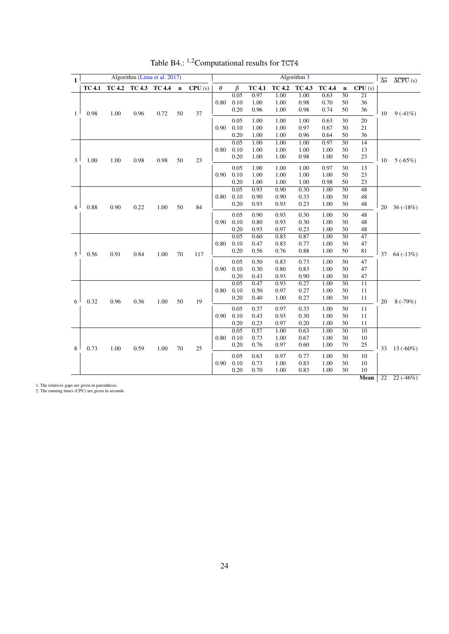<span id="page-25-0"></span>

| $\mathbf{I}$   |                             |               |               | Algorithm (Lima et al. 2017) |             |        |          |                              |                              |                              | Algorithm 3                  |                              |                                   |                                   | $\overline{\Delta n}$ | $\overline{\Delta CPU}$ (s) |
|----------------|-----------------------------|---------------|---------------|------------------------------|-------------|--------|----------|------------------------------|------------------------------|------------------------------|------------------------------|------------------------------|-----------------------------------|-----------------------------------|-----------------------|-----------------------------|
|                | <b>TC 4.1</b>               | <b>TC 4.2</b> | TC 4.3 TC 4.4 |                              | $\mathbf n$ | CPU(s) | $\theta$ | β                            | <b>TC 4.1</b>                | <b>TC 4.2</b>                | <b>TC 4.3</b>                | <b>TC 4.4</b>                | $\mathbf n$                       | CPU(s)                            |                       |                             |
| $\mathbf{1}$   | 0.98                        | 1.00          | 0.96          | 0.72                         | 50          | 37     | 0.80     | 0.05<br>0.10<br>0.20         | 0.97<br>1.00<br>0.96         | 1.00<br>1.00<br>1.00         | 1.00<br>0.98<br>0.98         | 0.63<br>0.70<br>0.74         | 30<br>50<br>50                    | 21<br>36<br>36                    | 10                    | $9(-41%)$                   |
|                |                             |               |               |                              |             |        | 0.90     | 0.05<br>0.10<br>0.20         | 1.00<br>1.00<br>1.00         | 1.00<br>1.00<br>1.00         | 1.00<br>0.97<br>0.96         | 0.63<br>0.67<br>0.64         | 30<br>30<br>50                    | 20<br>21<br>36                    |                       |                             |
| 3              | 1.00                        | 1.00          | 0.98          | 0.98                         | 50          | 23     | 0.80     | 0.05<br>0.10<br>0.20<br>0.05 | 1.00<br>1.00<br>1.00<br>1.00 | 1.00<br>1.00<br>1.00<br>1.00 | 1.00<br>1.00<br>0.98<br>1.00 | 0.97<br>1.00<br>1.00<br>0.97 | $\overline{30}$<br>30<br>50<br>30 | $\overline{14}$<br>13<br>23<br>13 | 10                    | $5(-65%)$                   |
|                |                             |               |               |                              |             |        | 0.90     | 0.10<br>0.20                 | 1.00<br>1.00                 | 1.00<br>1.00                 | 1.00<br>1.00                 | 1.00<br>0.98                 | 50<br>50                          | 23<br>23                          |                       |                             |
| $\overline{4}$ | 0.88                        | 0.90          | 0.22          | 1.00                         | 50          | 84     | 0.80     | 0.05<br>0.10<br>0.20         | 0.93<br>0.90<br>0.93         | 0.90<br>0.90<br>0.93         | 0.30<br>0.33<br>0.23         | 1.00<br>1.00<br>1.00         | $\overline{30}$<br>30<br>30       | $\overline{48}$<br>48<br>48       | 20                    | 36 $(-18%)$                 |
|                |                             |               |               |                              |             |        | 0.90     | 0.05<br>0.10<br>0.20         | 0.90<br>0.80<br>0.93         | 0.93<br>0.93<br>0.97         | 0.30<br>0.30<br>0.23         | 1.00<br>1.00<br>1.00         | 30<br>30<br>30                    | 48<br>48<br>48                    |                       |                             |
| 5              | 0.56                        | 0.91          | 0.84          | 1.00                         | $70\,$      | 117    | 0.80     | 0.05<br>0.10<br>0.20         | 0.60<br>0.47<br>0.56         | 0.83<br>0.83<br>0.76         | 0.87<br>0.77<br>0.88         | 1.00<br>1.00<br>1.00         | $\overline{30}$<br>30<br>50       | 47<br>47<br>81                    | 37                    | $64 (-13%)$                 |
|                |                             |               |               |                              |             |        | 0.90     | 0.05<br>0.10<br>0.20         | 0.50<br>0.30<br>0.43         | 0.83<br>0.80<br>0.93         | 0.73<br>0.83<br>0.90         | 1.00<br>1.00<br>1.00         | 30<br>30<br>30                    | 47<br>47<br>47                    |                       |                             |
| 6              | 0.32                        | 0.96          | 0.36          | 1.00                         | 50          | 19     | 0.80     | 0.05<br>0.10<br>0.20         | 0.47<br>0.50<br>0.40         | 0.93<br>0.97<br>1.00         | 0.27<br>0.27<br>0.27         | 1.00<br>1.00<br>1.00         | $\overline{30}$<br>30<br>30       | $\overline{11}$<br>11<br>11       | 20                    | $8(-79%)$                   |
|                |                             |               |               |                              |             |        | 0.90     | 0.05<br>0.10<br>0.20         | 0.37<br>0.43<br>0.23         | 0.97<br>0.93<br>0.97         | 0.33<br>0.30<br>0.20         | 1.00<br>1.00<br>1.00         | 30<br>30<br>30                    | 11<br>11<br>11                    |                       |                             |
| 8              | 0.73                        | 1.00          | 0.59          | 1.00                         | 70          | 25     | 0.80     | 0.05<br>0.10<br>0.20         | 0.57<br>0.73<br>0.76         | 1.00<br>1.00<br>0.97         | 0.63<br>0.67<br>0.60         | 1.00<br>1.00<br>1.00         | 30<br>30<br>70                    | 10<br>10<br>25                    | 33                    | 13 $(-60\%)$                |
|                |                             |               |               |                              |             |        | 0.90     | 0.05<br>0.10<br>0.20         | 0.63<br>0.73<br>0.70         | 0.97<br>1.00<br>1.00         | 0.77<br>0.83<br>0.83         | 1.00<br>1.00<br>1.00         | 30<br>30<br>30                    | 10<br>10<br>10                    |                       |                             |
|                | se ara givan in naranthacis |               |               |                              |             |        |          |                              |                              |                              |                              |                              |                                   | <b>Mean</b>                       | $\overline{22}$       | $22(-46%)$                  |

Table B4.: <sup>1</sup>,2Computational results for TCT4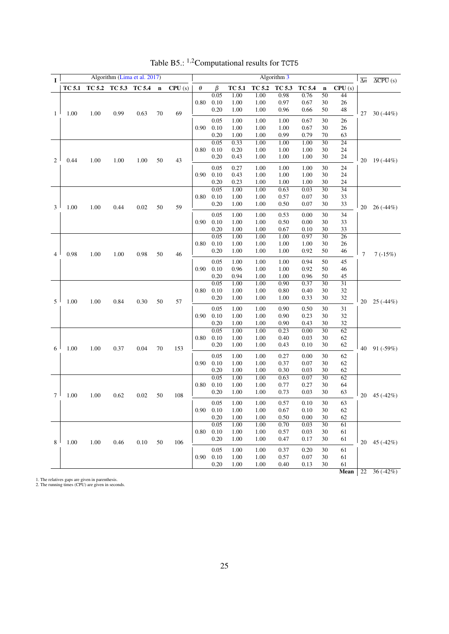<span id="page-26-0"></span>

| L              |               |      | Algorithm (Lima et al. 2017) |      |             |        |          |              |               |                            | Algorithm 3  |               |                       |                       | $\overline{\Delta n}$ | $\overline{\Delta CPU}$ (s) |
|----------------|---------------|------|------------------------------|------|-------------|--------|----------|--------------|---------------|----------------------------|--------------|---------------|-----------------------|-----------------------|-----------------------|-----------------------------|
|                | <b>TC 5.1</b> |      | TC 5.2 TC 5.3 TC 5.4         |      | $\mathbf n$ | CPU(s) | $\theta$ | $\beta$      | <b>TC 5.1</b> | TC 5.2                     | TC 5.3       | <b>TC 5.4</b> | $\mathbf n$           | CPU(s)                |                       |                             |
|                |               |      |                              |      |             |        |          | 0.05         | 1.00          | 1.00                       | 0.98         | 0.76          | 50                    | 44                    |                       |                             |
|                |               |      |                              |      |             |        | 0.80     | 0.10<br>0.20 | 1.00<br>1.00  | 1.00<br>1.00               | 0.97<br>0.96 | 0.67<br>0.66  | 30<br>50              | 26<br>48              |                       |                             |
| $\mathbf{1}$   | 1.00          | 1.00 | 0.99                         | 0.63 | 70          | 69     |          |              |               |                            |              |               |                       |                       | 27                    | $30(-44%)$                  |
|                |               |      |                              |      |             |        | 0.90     | 0.05<br>0.10 | 1.00<br>1.00  | 1.00<br>1.00               | 1.00<br>1.00 | 0.67<br>0.67  | 30<br>30              | 26<br>26              |                       |                             |
|                |               |      |                              |      |             |        |          | 0.20         | 1.00          | 1.00                       | 0.99         | 0.79          | 70                    | 63                    |                       |                             |
|                |               |      |                              |      |             |        |          | 0.05         | 0.33          | 1.00                       | 1.00         | 1.00          | $\overline{30}$       | $\overline{24}$       |                       |                             |
|                |               |      |                              |      |             |        | 0.80     | 0.10         | 0.20          | 1.00                       | 1.00         | 1.00          | 30                    | 24                    |                       |                             |
| $\overline{c}$ | 0.44          | 1.00 | 1.00                         | 1.00 | 50          | 43     |          | 0.20         | 0.43          | 1.00                       | 1.00         | 1.00          | 30                    | 24                    | 20                    | 19 $(-44%)$                 |
|                |               |      |                              |      |             |        |          | 0.05         | 0.27          | 1.00                       | 1.00         | 1.00          | 30                    | 24                    |                       |                             |
|                |               |      |                              |      |             |        | 0.90     | 0.10         | 0.43          | 1.00                       | 1.00         | 1.00          | 30                    | 24                    |                       |                             |
|                |               |      |                              |      |             |        |          | 0.20         | 0.23          | 1.00                       | 1.00         | 1.00          | 30                    | 24                    |                       |                             |
|                |               |      |                              |      |             |        |          | 0.05         | 1.00          | 1.00                       | 0.63         | 0.03          | $\overline{30}$       | $\overline{34}$       |                       |                             |
|                |               |      |                              |      |             |        | 0.80     | 0.10         | 1.00          | 1.00                       | 0.57         | 0.07          | 30                    | 33                    |                       |                             |
| 3              | 1.00          | 1.00 | 0.44                         | 0.02 | $50\,$      | 59     |          | 0.20         | 1.00          | 1.00                       | 0.50         | 0.07          | 30                    | 33                    | 20                    | 26 (-44%)                   |
|                |               |      |                              |      |             |        |          | 0.05         | 1.00          | 1.00                       | 0.53         | 0.00          | 30                    | 34                    |                       |                             |
|                |               |      |                              |      |             |        | 0.90     | 0.10         | 1.00          | 1.00                       | 0.50         | 0.00          | 30                    | 33                    |                       |                             |
|                |               |      |                              |      |             |        |          | 0.20         | 1.00          | 1.00                       | 0.67         | 0.10          | 30                    | 33                    |                       |                             |
|                |               |      |                              |      |             |        | 0.80     | 0.05<br>0.10 | 1.00<br>1.00  | 1.00<br>1.00               | 1.00<br>1.00 | 0.97<br>1.00  | $\overline{30}$<br>30 | $\overline{26}$<br>26 |                       |                             |
|                | 0.98          |      |                              |      |             |        |          | 0.20         | 1.00          | 1.00                       | 1.00         | 0.92          | 50                    | 46                    |                       |                             |
| $\overline{4}$ |               | 1.00 | 1.00                         | 0.98 | $50\,$      | 46     |          |              |               |                            |              |               |                       |                       | $\overline{7}$        | $7\,(-15\%)$                |
|                |               |      |                              |      |             |        |          | 0.05         | 1.00          | 1.00                       | 1.00         | 0.94          | 50                    | 45                    |                       |                             |
|                |               |      |                              |      |             |        | 0.90     | 0.10<br>0.20 | 0.96<br>0.94  | 1.00<br>1.00               | 1.00<br>1.00 | 0.92<br>0.96  | 50<br>50              | 46<br>45              |                       |                             |
|                |               |      |                              |      |             |        |          | 0.05         | 1.00          | 1.00                       | 0.90         | 0.37          | 30                    | $\overline{31}$       |                       |                             |
|                |               |      |                              |      |             |        | 0.80     | 0.10         | 1.00          | 1.00                       | 0.80         | 0.40          | 30                    | 32                    |                       |                             |
| 5              | 1.00          | 1.00 | 0.84                         | 0.30 | 50          | 57     |          | 0.20         | 1.00          | 1.00                       | 1.00         | 0.33          | 30                    | 32                    | 20                    | $25(-44%)$                  |
|                |               |      |                              |      |             |        |          | 0.05         | 1.00          | 1.00                       | 0.90         | 0.50          | 30                    | 31                    |                       |                             |
|                |               |      |                              |      |             |        | 0.90     | 0.10         | 1.00          | 1.00                       | 0.90         | 0.23          | 30                    | 32                    |                       |                             |
|                |               |      |                              |      |             |        |          | 0.20         | 1.00          | 1.00                       | 0.90         | 0.43          | 30                    | 32                    |                       |                             |
|                |               |      |                              |      |             |        |          | 0.05         | 1.00          | 1.00                       | 0.23         | 0.00          | 30                    | 62                    |                       |                             |
|                |               |      |                              |      |             |        | 0.80     | 0.10         | 1.00          | 1.00                       | 0.40         | 0.03          | 30                    | 62                    |                       |                             |
| 6              | 1.00          | 1.00 | 0.37                         | 0.04 | 70          | 153    |          | 0.20         | 1.00          | 1.00                       | 0.43         | 0.10          | 30                    | 62                    | 40                    | 91 $(-59%)$                 |
|                |               |      |                              |      |             |        |          | 0.05         | 1.00          | 1.00                       | 0.27         | 0.00          | 30                    | 62                    |                       |                             |
|                |               |      |                              |      |             |        | 0.90     | 0.10         | 1.00          | 1.00                       | 0.37         | 0.07          | 30                    | 62                    |                       |                             |
|                |               |      |                              |      |             |        |          | 0.20<br>0.05 | 1.00<br>1.00  | 1.00<br>1.00               | 0.30<br>0.63 | 0.03<br>0.07  | 30<br>$\overline{30}$ | 62<br>62              |                       |                             |
|                |               |      |                              |      |             |        | 0.80     | 0.10         | 1.00          | 1.00                       | 0.77         | 0.27          | 30                    | 64                    |                       |                             |
|                |               |      |                              |      |             |        |          | 0.20         | 1.00          | 1.00                       | 0.73         | 0.03          | 30                    | 63                    |                       |                             |
| $\tau$         | 1.00          | 1.00 | 0.62                         | 0.02 | 50          | 108    |          |              |               |                            |              |               |                       |                       | 20                    | 45 (-42%)                   |
|                |               |      |                              |      |             |        | 0.90     | 0.05<br>0.10 | 1.00<br>1.00  | 0.10<br>30<br>1.00<br>0.57 | 30           | 63<br>62      |                       |                       |                       |                             |
|                |               |      |                              |      |             |        |          | 0.20         | 1.00          | 1.00<br>1.00               | 0.67<br>0.50 | 0.10<br>0.00  | 30                    | 62                    |                       |                             |
|                |               |      |                              |      |             |        |          | 0.05         | 1.00          | 1.00                       | 0.70         | 0.03          | 30                    | 61                    |                       |                             |
|                |               |      |                              |      |             |        | 0.80     | 0.10         | 1.00          | 1.00                       | 0.57         | 0.03          | 30                    | 61                    |                       |                             |
| 8              | 1.00          | 1.00 | 0.46                         | 0.10 | $50\,$      | 106    |          | 0.20         | 1.00          | 1.00                       | 0.47         | 0.17          | 30                    | 61                    | 20                    | 45 $(-42%)$                 |
|                |               |      |                              |      |             |        |          | 0.05         | 1.00          | 1.00                       | 0.37         | 0.20          | 30                    | 61                    |                       |                             |
|                |               |      |                              |      |             |        | 0.90     | 0.10         | 1.00          | 1.00                       | 0.57         | 0.07          | 30                    | 61                    |                       |                             |
|                |               |      |                              |      |             |        |          | 0.20         | 1.00          | 1.00                       | 0.40         | 0.13          | 30                    | 61                    |                       |                             |
|                |               |      |                              |      |             |        |          |              |               |                            |              |               |                       | Mean                  | 22                    | $36(-42%)$                  |

Table B5.: <sup>1</sup>,2Computational results for TCT5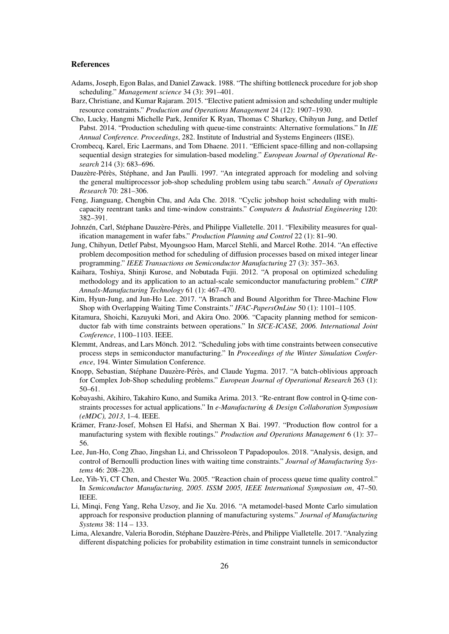## References

- <span id="page-27-16"></span>Adams, Joseph, Egon Balas, and Daniel Zawack. 1988. "The shifting bottleneck procedure for job shop scheduling." *Management science* 34 (3): 391–401.
- <span id="page-27-3"></span>Barz, Christiane, and Kumar Rajaram. 2015. "Elective patient admission and scheduling under multiple resource constraints." *Production and Operations Management* 24 (12): 1907–1930.
- <span id="page-27-6"></span>Cho, Lucky, Hangmi Michelle Park, Jennifer K Ryan, Thomas C Sharkey, Chihyun Jung, and Detlef Pabst. 2014. "Production scheduling with queue-time constraints: Alternative formulations." In *IIE Annual Conference. Proceedings*, 282. Institute of Industrial and Systems Engineers (IISE).
- <span id="page-27-18"></span>Crombecq, Karel, Eric Laermans, and Tom Dhaene. 2011. "Efficient space-filling and non-collapsing sequential design strategies for simulation-based modeling." *European Journal of Operational Research* 214 (3): 683–696.
- <span id="page-27-17"></span>Dauzère-Pérès, Stéphane, and Jan Paulli. 1997. "An integrated approach for modeling and solving the general multiprocessor job-shop scheduling problem using tabu search." *Annals of Operations Research* 70: 281–306.
- <span id="page-27-2"></span>Feng, Jianguang, Chengbin Chu, and Ada Che. 2018. "Cyclic jobshop hoist scheduling with multicapacity reentrant tanks and time-window constraints." *Computers & Industrial Engineering* 120: 382–391.
- <span id="page-27-11"></span>Johnzén, Carl, Stéphane Dauzère-Pérès, and Philippe Vialletelle. 2011. "Flexibility measures for qualification management in wafer fabs." *Production Planning and Control* 22 (1): 81–90.
- <span id="page-27-7"></span>Jung, Chihyun, Detlef Pabst, Myoungsoo Ham, Marcel Stehli, and Marcel Rothe. 2014. "An effective problem decomposition method for scheduling of diffusion processes based on mixed integer linear programming." *IEEE Transactions on Semiconductor Manufacturing* 27 (3): 357–363.
- <span id="page-27-12"></span>Kaihara, Toshiya, Shinji Kurose, and Nobutada Fujii. 2012. "A proposal on optimized scheduling methodology and its application to an actual-scale semiconductor manufacturing problem." *CIRP Annals-Manufacturing Technology* 61 (1): 467–470.
- <span id="page-27-10"></span>Kim, Hyun-Jung, and Jun-Ho Lee. 2017. "A Branch and Bound Algorithm for Three-Machine Flow Shop with Overlapping Waiting Time Constraints." *IFAC-PapersOnLine* 50 (1): 1101–1105.
- <span id="page-27-9"></span>Kitamura, Shoichi, Kazuyuki Mori, and Akira Ono. 2006. "Capacity planning method for semiconductor fab with time constraints between operations." In *SICE-ICASE, 2006. International Joint Conference*, 1100–1103. IEEE.
- <span id="page-27-14"></span>Klemmt, Andreas, and Lars Mönch. 2012. "Scheduling jobs with time constraints between consecutive process steps in semiconductor manufacturing." In *Proceedings of the Winter Simulation Conference*, 194. Winter Simulation Conference.
- <span id="page-27-8"></span>Knopp, Sebastian, Stéphane Dauzère-Pérès, and Claude Yugma. 2017. "A batch-oblivious approach for Complex Job-Shop scheduling problems." *European Journal of Operational Research* 263 (1): 50–61.
- <span id="page-27-4"></span>Kobayashi, Akihiro, Takahiro Kuno, and Sumika Arima. 2013. "Re-entrant flow control in Q-time constraints processes for actual applications." In *e-Manufacturing & Design Collaboration Symposium (eMDC), 2013*, 1–4. IEEE.
- <span id="page-27-13"></span>Krämer, Franz-Josef, Mohsen El Hafsi, and Sherman X Bai. 1997. "Production flow control for a manufacturing system with flexible routings." *Production and Operations Management* 6 (1): 37– 56.
- <span id="page-27-1"></span>Lee, Jun-Ho, Cong Zhao, Jingshan Li, and Chrissoleon T Papadopoulos. 2018. "Analysis, design, and control of Bernoulli production lines with waiting time constraints." *Journal of Manufacturing Systems* 46: 208–220.
- <span id="page-27-5"></span>Lee, Yih-Yi, CT Chen, and Chester Wu. 2005. "Reaction chain of process queue time quality control." In *Semiconductor Manufacturing, 2005. ISSM 2005, IEEE International Symposium on*, 47–50. IEEE.
- <span id="page-27-15"></span>Li, Minqi, Feng Yang, Reha Uzsoy, and Jie Xu. 2016. "A metamodel-based Monte Carlo simulation approach for responsive production planning of manufacturing systems." *Journal of Manufacturing Systems* 38: 114 – 133.
- <span id="page-27-0"></span>Lima, Alexandre, Valeria Borodin, Stéphane Dauzère-Pérès, and Philippe Vialletelle. 2017. "Analyzing different dispatching policies for probability estimation in time constraint tunnels in semiconductor